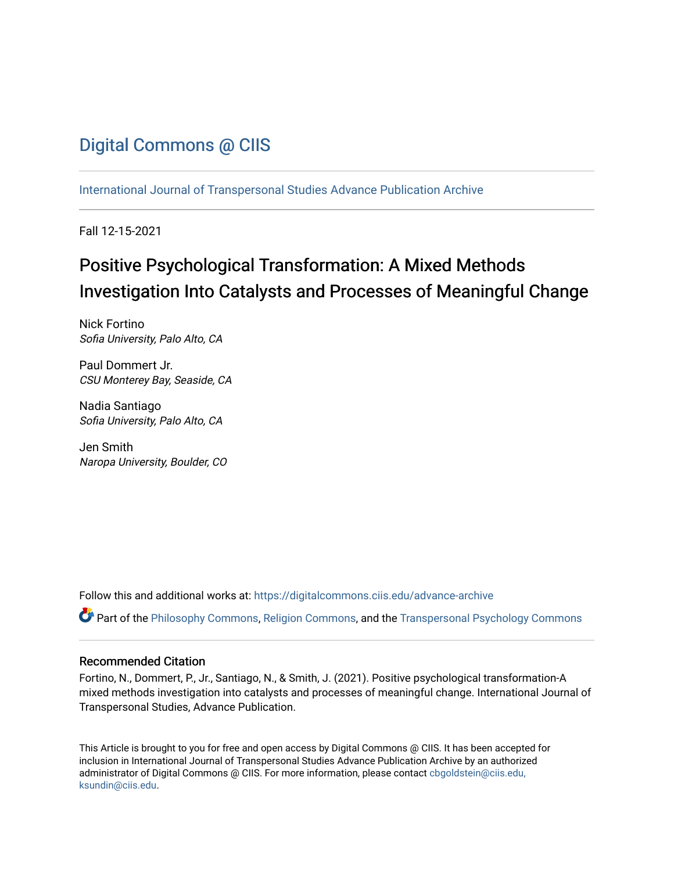# [Digital Commons @ CIIS](https://digitalcommons.ciis.edu/)

[International Journal of Transpersonal Studies Advance Publication Archive](https://digitalcommons.ciis.edu/advance-archive)

Fall 12-15-2021

# Positive Psychological Transformation: A Mixed Methods Investigation Into Catalysts and Processes of Meaningful Change

Nick Fortino Sofia University, Palo Alto, CA

Paul Dommert Jr. CSU Monterey Bay, Seaside, CA

Nadia Santiago Sofia University, Palo Alto, CA

Jen Smith Naropa University, Boulder, CO

Follow this and additional works at: [https://digitalcommons.ciis.edu/advance-archive](https://digitalcommons.ciis.edu/advance-archive?utm_source=digitalcommons.ciis.edu%2Fadvance-archive%2F29&utm_medium=PDF&utm_campaign=PDFCoverPages)

Part of the [Philosophy Commons,](http://network.bepress.com/hgg/discipline/525?utm_source=digitalcommons.ciis.edu%2Fadvance-archive%2F29&utm_medium=PDF&utm_campaign=PDFCoverPages) [Religion Commons,](http://network.bepress.com/hgg/discipline/538?utm_source=digitalcommons.ciis.edu%2Fadvance-archive%2F29&utm_medium=PDF&utm_campaign=PDFCoverPages) and the [Transpersonal Psychology Commons](http://network.bepress.com/hgg/discipline/1388?utm_source=digitalcommons.ciis.edu%2Fadvance-archive%2F29&utm_medium=PDF&utm_campaign=PDFCoverPages)

# Recommended Citation

Fortino, N., Dommert, P., Jr., Santiago, N., & Smith, J. (2021). Positive psychological transformation-A mixed methods investigation into catalysts and processes of meaningful change. International Journal of Transpersonal Studies, Advance Publication.

This Article is brought to you for free and open access by Digital Commons @ CIIS. It has been accepted for inclusion in International Journal of Transpersonal Studies Advance Publication Archive by an authorized administrator of Digital Commons @ CIIS. For more information, please contact [cbgoldstein@ciis.edu,](mailto:cbgoldstein@ciis.edu,%20ksundin@ciis.edu)  [ksundin@ciis.edu](mailto:cbgoldstein@ciis.edu,%20ksundin@ciis.edu).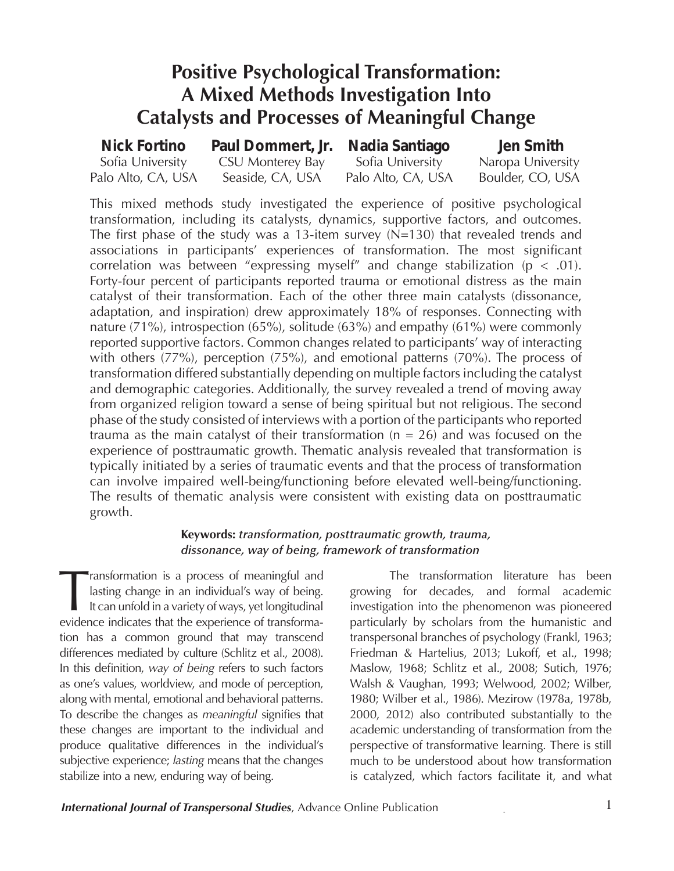# **Positive Psychological Transformation: A Mixed Methods Investigation Into Catalysts and Processes of Meaningful Change**

| <b>Nick Fortino</b> | Paul Dommert, Jr. | Nadia Santiago     | Jen Smith         |
|---------------------|-------------------|--------------------|-------------------|
| Sofia University    | CSU Monterey Bay  | Sofia University   | Naropa University |
| Palo Alto, CA, USA  | Seaside, CA, USA  | Palo Alto, CA, USA | Boulder, CO, USA  |

This mixed methods study investigated the experience of positive psychological transformation, including its catalysts, dynamics, supportive factors, and outcomes. The first phase of the study was a 13-item survey (N=130) that revealed trends and associations in participants' experiences of transformation. The most significant correlation was between "expressing myself" and change stabilization ( $p < .01$ ). Forty-four percent of participants reported trauma or emotional distress as the main catalyst of their transformation. Each of the other three main catalysts (dissonance, adaptation, and inspiration) drew approximately 18% of responses. Connecting with nature (71%), introspection (65%), solitude (63%) and empathy (61%) were commonly reported supportive factors. Common changes related to participants' way of interacting with others (77%), perception (75%), and emotional patterns (70%). The process of transformation differed substantially depending on multiple factors including the catalyst and demographic categories. Additionally, the survey revealed a trend of moving away from organized religion toward a sense of being spiritual but not religious. The second phase of the study consisted of interviews with a portion of the participants who reported trauma as the main catalyst of their transformation  $(n = 26)$  and was focused on the experience of posttraumatic growth. Thematic analysis revealed that transformation is typically initiated by a series of traumatic events and that the process of transformation can involve impaired well-being/functioning before elevated well-being/functioning. The results of thematic analysis were consistent with existing data on posttraumatic growth.

# **Keywords:** *transformation, posttraumatic growth, trauma, dissonance, way of being, framework of transformation*

Transformation is a process of meaningful and<br>lasting change in an individual's way of being.<br>It can unfold in a variety of ways, yet longitudinal<br>evidence indicates that the experience of transformalasting change in an individual's way of being. It can unfold in a variety of ways, yet longitudinal evidence indicates that the experience of transformation has a common ground that may transcend differences mediated by culture (Schlitz et al., 2008). In this definition, *way of being* refers to such factors as one's values, worldview, and mode of perception, along with mental, emotional and behavioral patterns. To describe the changes as *meaningful* signifies that these changes are important to the individual and produce qualitative differences in the individual's subjective experience; *lasting* means that the changes stabilize into a new, enduring way of being.

The transformation literature has been growing for decades, and formal academic investigation into the phenomenon was pioneered particularly by scholars from the humanistic and transpersonal branches of psychology (Frankl, 1963; Friedman & Hartelius, 2013; Lukoff, et al., 1998; Maslow, 1968; Schlitz et al., 2008; Sutich, 1976; Walsh & Vaughan, 1993; Welwood, 2002; Wilber, 1980; Wilber et al., 1986). Mezirow (1978a, 1978b, 2000, 2012) also contributed substantially to the academic understanding of transformation from the perspective of transformative learning. There is still much to be understood about how transformation is catalyzed, which factors facilitate it, and what

**International Journal of Transpersonal Studies**, Advance Online Publication **1**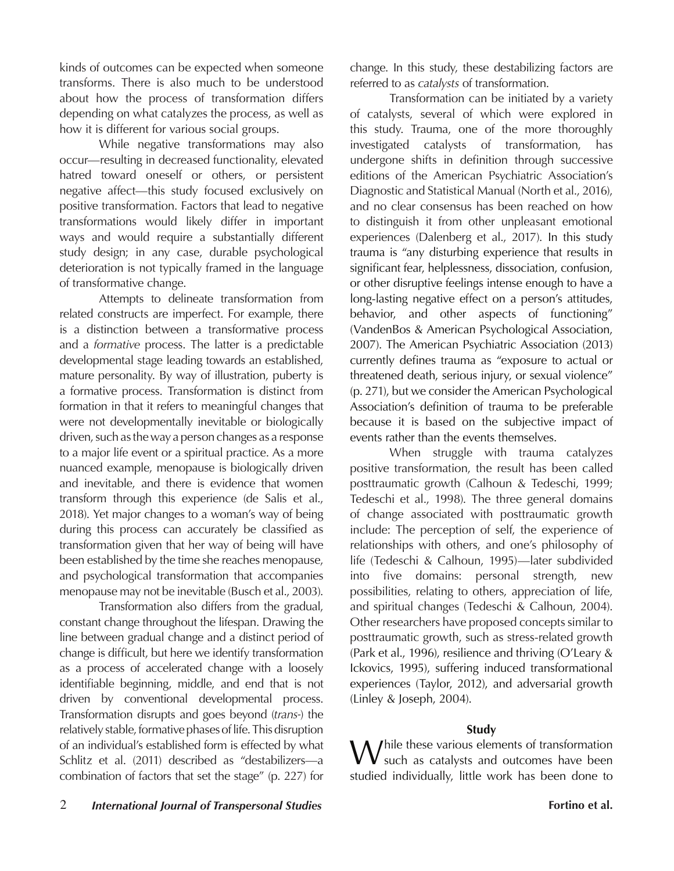kinds of outcomes can be expected when someone transforms. There is also much to be understood about how the process of transformation differs depending on what catalyzes the process, as well as how it is different for various social groups.

While negative transformations may also occur—resulting in decreased functionality, elevated hatred toward oneself or others, or persistent negative affect—this study focused exclusively on positive transformation. Factors that lead to negative transformations would likely differ in important ways and would require a substantially different study design; in any case, durable psychological deterioration is not typically framed in the language of transformative change.

Attempts to delineate transformation from related constructs are imperfect. For example, there is a distinction between a transformative process and a *formative* process. The latter is a predictable developmental stage leading towards an established, mature personality. By way of illustration, puberty is a formative process. Transformation is distinct from formation in that it refers to meaningful changes that were not developmentally inevitable or biologically driven, such as the way a person changes as a response to a major life event or a spiritual practice. As a more nuanced example, menopause is biologically driven and inevitable, and there is evidence that women transform through this experience (de Salis et al., 2018). Yet major changes to a woman's way of being during this process can accurately be classified as transformation given that her way of being will have been established by the time she reaches menopause, and psychological transformation that accompanies menopause may not be inevitable (Busch et al., 2003).

Transformation also differs from the gradual, constant change throughout the lifespan. Drawing the line between gradual change and a distinct period of change is difficult, but here we identify transformation as a process of accelerated change with a loosely identifiable beginning, middle, and end that is not driven by conventional developmental process. Transformation disrupts and goes beyond (*trans-*) the relatively stable, formative phases of life. This disruption of an individual's established form is effected by what Schlitz et al. (2011) described as "destabilizers—a combination of factors that set the stage" (p. 227) for change. In this study, these destabilizing factors are referred to as *catalysts* of transformation.

Transformation can be initiated by a variety of catalysts, several of which were explored in this study. Trauma, one of the more thoroughly investigated catalysts of transformation, has undergone shifts in definition through successive editions of the American Psychiatric Association's Diagnostic and Statistical Manual (North et al., 2016), and no clear consensus has been reached on how to distinguish it from other unpleasant emotional experiences (Dalenberg et al., 2017). In this study trauma is "any disturbing experience that results in significant fear, helplessness, dissociation, confusion, or other disruptive feelings intense enough to have a long-lasting negative effect on a person's attitudes, behavior, and other aspects of functioning" (VandenBos & American Psychological Association, 2007). The American Psychiatric Association (2013) currently defines trauma as "exposure to actual or threatened death, serious injury, or sexual violence" (p. 271), but we consider the American Psychological Association's definition of trauma to be preferable because it is based on the subjective impact of events rather than the events themselves.

When struggle with trauma catalyzes positive transformation, the result has been called posttraumatic growth (Calhoun & Tedeschi, 1999; Tedeschi et al., 1998). The three general domains of change associated with posttraumatic growth include: The perception of self, the experience of relationships with others, and one's philosophy of life (Tedeschi & Calhoun, 1995)—later subdivided into five domains: personal strength, new possibilities, relating to others, appreciation of life, and spiritual changes (Tedeschi & Calhoun, 2004). Other researchers have proposed concepts similar to posttraumatic growth, such as stress-related growth (Park et al., 1996), resilience and thriving (O'Leary & Ickovics, 1995), suffering induced transformational experiences (Taylor, 2012), and adversarial growth (Linley & Joseph, 2004).

# **Study**

While these various elements of transformation such as catalysts and outcomes have been studied individually, little work has been done to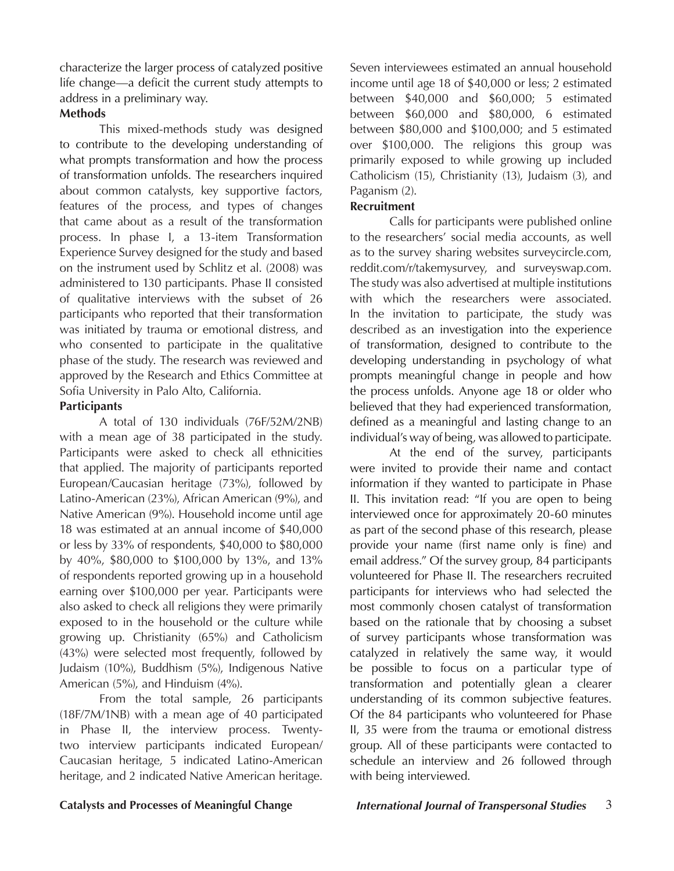characterize the larger process of catalyzed positive life change—a deficit the current study attempts to address in a preliminary way.

# **Methods**

This mixed-methods study was designed to contribute to the developing understanding of what prompts transformation and how the process of transformation unfolds. The researchers inquired about common catalysts, key supportive factors, features of the process, and types of changes that came about as a result of the transformation process. In phase I, a 13-item Transformation Experience Survey designed for the study and based on the instrument used by Schlitz et al. (2008) was administered to 130 participants. Phase II consisted of qualitative interviews with the subset of 26 participants who reported that their transformation was initiated by trauma or emotional distress, and who consented to participate in the qualitative phase of the study. The research was reviewed and approved by the Research and Ethics Committee at Sofia University in Palo Alto, California.

# **Participants**

A total of 130 individuals (76F/52M/2NB) with a mean age of 38 participated in the study. Participants were asked to check all ethnicities that applied. The majority of participants reported European/Caucasian heritage (73%), followed by Latino-American (23%), African American (9%), and Native American (9%). Household income until age 18 was estimated at an annual income of \$40,000 or less by 33% of respondents, \$40,000 to \$80,000 by 40%, \$80,000 to \$100,000 by 13%, and 13% of respondents reported growing up in a household earning over \$100,000 per year. Participants were also asked to check all religions they were primarily exposed to in the household or the culture while growing up. Christianity (65%) and Catholicism (43%) were selected most frequently, followed by Judaism (10%), Buddhism (5%), Indigenous Native American (5%), and Hinduism (4%).

From the total sample, 26 participants (18F/7M/1NB) with a mean age of 40 participated in Phase II, the interview process. Twentytwo interview participants indicated European/ Caucasian heritage, 5 indicated Latino-American heritage, and 2 indicated Native American heritage. Seven interviewees estimated an annual household income until age 18 of \$40,000 or less; 2 estimated between \$40,000 and \$60,000; 5 estimated between \$60,000 and \$80,000, 6 estimated between \$80,000 and \$100,000; and 5 estimated over \$100,000. The religions this group was primarily exposed to while growing up included Catholicism (15), Christianity (13), Judaism (3), and Paganism (2).

# **Recruitment**

Calls for participants were published online to the researchers' social media accounts, as well as to the survey sharing websites surveycircle.com, reddit.com/r/takemysurvey, and surveyswap.com. The study was also advertised at multiple institutions with which the researchers were associated. In the invitation to participate, the study was described as an investigation into the experience of transformation, designed to contribute to the developing understanding in psychology of what prompts meaningful change in people and how the process unfolds. Anyone age 18 or older who believed that they had experienced transformation, defined as a meaningful and lasting change to an individual's way of being, was allowed to participate.

At the end of the survey, participants were invited to provide their name and contact information if they wanted to participate in Phase II. This invitation read: "If you are open to being interviewed once for approximately 20-60 minutes as part of the second phase of this research, please provide your name (first name only is fine) and email address." Of the survey group, 84 participants volunteered for Phase II. The researchers recruited participants for interviews who had selected the most commonly chosen catalyst of transformation based on the rationale that by choosing a subset of survey participants whose transformation was catalyzed in relatively the same way, it would be possible to focus on a particular type of transformation and potentially glean a clearer understanding of its common subjective features. Of the 84 participants who volunteered for Phase II, 35 were from the trauma or emotional distress group. All of these participants were contacted to schedule an interview and 26 followed through with being interviewed.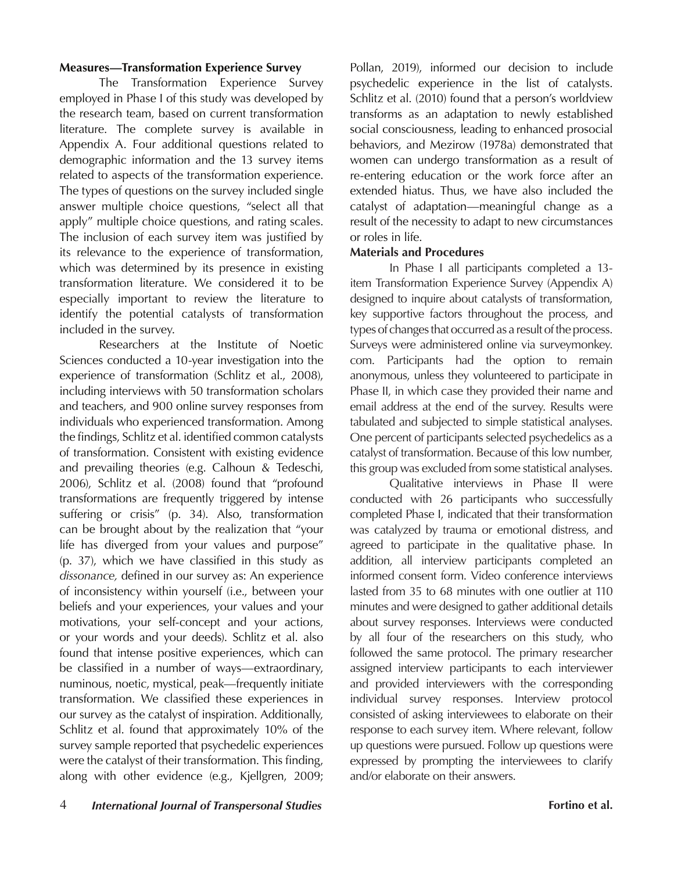## **Measures—Transformation Experience Survey**

The Transformation Experience Survey employed in Phase I of this study was developed by the research team, based on current transformation literature. The complete survey is available in Appendix A. Four additional questions related to demographic information and the 13 survey items related to aspects of the transformation experience. The types of questions on the survey included single answer multiple choice questions, "select all that apply" multiple choice questions, and rating scales. The inclusion of each survey item was justified by its relevance to the experience of transformation, which was determined by its presence in existing transformation literature. We considered it to be especially important to review the literature to identify the potential catalysts of transformation included in the survey.

Researchers at the Institute of Noetic Sciences conducted a 10-year investigation into the experience of transformation (Schlitz et al., 2008), including interviews with 50 transformation scholars and teachers, and 900 online survey responses from individuals who experienced transformation. Among the findings, Schlitz et al. identified common catalysts of transformation. Consistent with existing evidence and prevailing theories (e.g. Calhoun & Tedeschi, 2006), Schlitz et al. (2008) found that "profound transformations are frequently triggered by intense suffering or crisis" (p. 34). Also, transformation can be brought about by the realization that "your life has diverged from your values and purpose" (p. 37), which we have classified in this study as *dissonance,* defined in our survey as: An experience of inconsistency within yourself (i.e., between your beliefs and your experiences, your values and your motivations, your self-concept and your actions, or your words and your deeds). Schlitz et al. also found that intense positive experiences, which can be classified in a number of ways—extraordinary, numinous, noetic, mystical, peak—frequently initiate transformation. We classified these experiences in our survey as the catalyst of inspiration. Additionally, Schlitz et al. found that approximately 10% of the survey sample reported that psychedelic experiences were the catalyst of their transformation. This finding, along with other evidence (e.g., Kjellgren, 2009;

Pollan, 2019), informed our decision to include psychedelic experience in the list of catalysts. Schlitz et al. (2010) found that a person's worldview transforms as an adaptation to newly established social consciousness, leading to enhanced prosocial behaviors, and Mezirow (1978a) demonstrated that women can undergo transformation as a result of re-entering education or the work force after an extended hiatus. Thus, we have also included the catalyst of adaptation—meaningful change as a result of the necessity to adapt to new circumstances or roles in life.

# **Materials and Procedures**

In Phase I all participants completed a 13 item Transformation Experience Survey (Appendix A) designed to inquire about catalysts of transformation, key supportive factors throughout the process, and types of changes that occurred as a result of the process. Surveys were administered online via surveymonkey. com. Participants had the option to remain anonymous, unless they volunteered to participate in Phase II, in which case they provided their name and email address at the end of the survey. Results were tabulated and subjected to simple statistical analyses. One percent of participants selected psychedelics as a catalyst of transformation. Because of this low number, this group was excluded from some statistical analyses.

Qualitative interviews in Phase II were conducted with 26 participants who successfully completed Phase I, indicated that their transformation was catalyzed by trauma or emotional distress, and agreed to participate in the qualitative phase. In addition, all interview participants completed an informed consent form. Video conference interviews lasted from 35 to 68 minutes with one outlier at 110 minutes and were designed to gather additional details about survey responses. Interviews were conducted by all four of the researchers on this study, who followed the same protocol. The primary researcher assigned interview participants to each interviewer and provided interviewers with the corresponding individual survey responses. Interview protocol consisted of asking interviewees to elaborate on their response to each survey item. Where relevant, follow up questions were pursued. Follow up questions were expressed by prompting the interviewees to clarify and/or elaborate on their answers.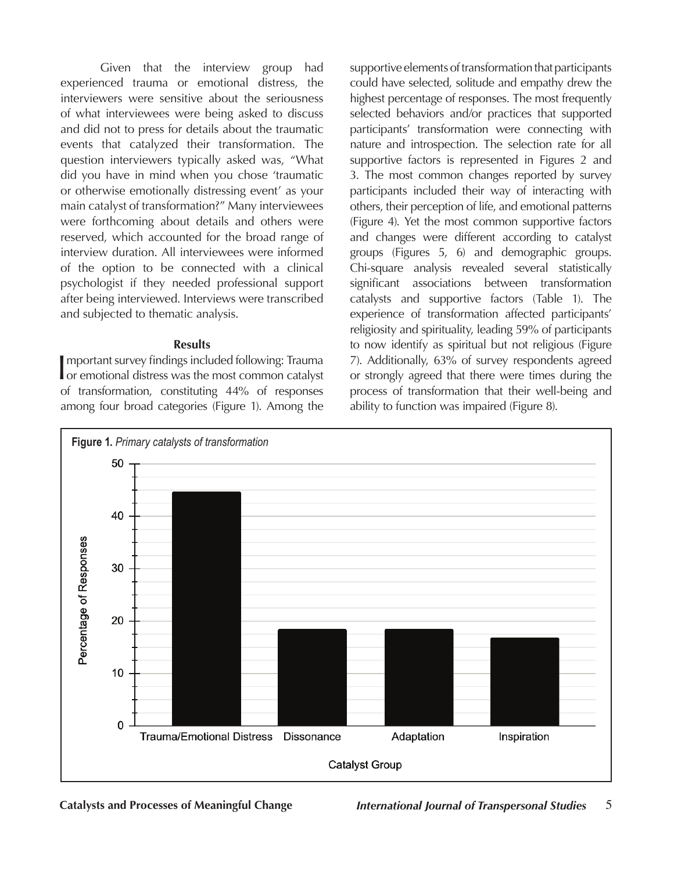Given that the interview group had experienced trauma or emotional distress, the interviewers were sensitive about the seriousness of what interviewees were being asked to discuss and did not to press for details about the traumatic events that catalyzed their transformation. The question interviewers typically asked was, "What did you have in mind when you chose 'traumatic or otherwise emotionally distressing event' as your main catalyst of transformation?" Many interviewees were forthcoming about details and others were reserved, which accounted for the broad range of interview duration. All interviewees were informed of the option to be connected with a clinical psychologist if they needed professional support after being interviewed. Interviews were transcribed and subjected to thematic analysis.

### **Results**

Important survey findings included following: Trauma<br>
or emotional distress was the most common catalyst mportant survey findings included following: Trauma of transformation, constituting 44% of responses among four broad categories (Figure 1). Among the

supportive elements of transformation that participants could have selected, solitude and empathy drew the highest percentage of responses. The most frequently selected behaviors and/or practices that supported participants' transformation were connecting with nature and introspection. The selection rate for all supportive factors is represented in Figures 2 and 3. The most common changes reported by survey participants included their way of interacting with others, their perception of life, and emotional patterns (Figure 4). Yet the most common supportive factors and changes were different according to catalyst groups (Figures 5, 6) and demographic groups. Chi-square analysis revealed several statistically significant associations between transformation catalysts and supportive factors (Table 1). The experience of transformation affected participants' religiosity and spirituality, leading 59% of participants to now identify as spiritual but not religious (Figure 7). Additionally, 63% of survey respondents agreed or strongly agreed that there were times during the process of transformation that their well-being and ability to function was impaired (Figure 8).

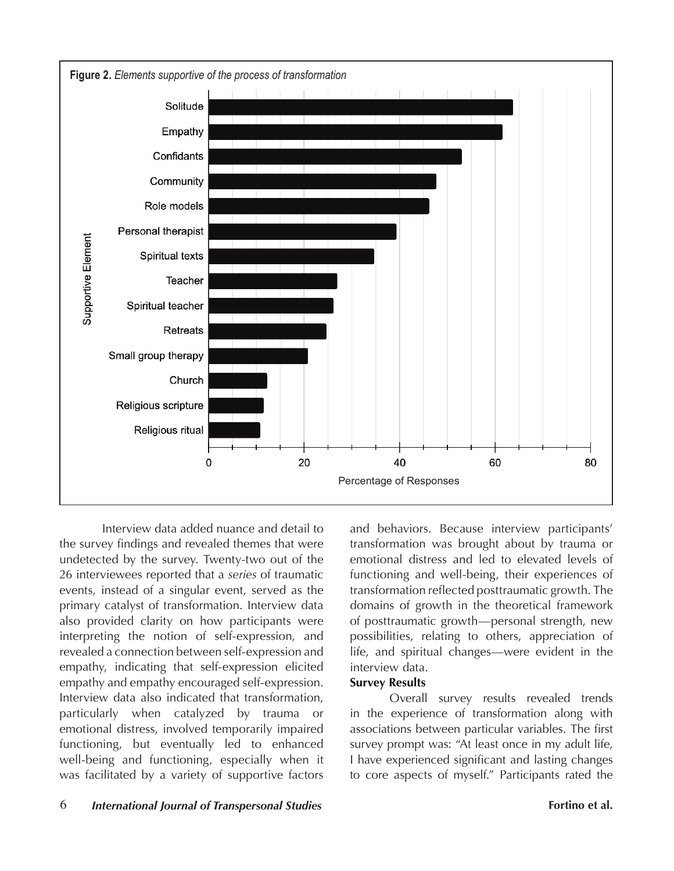

 Interview data added nuance and detail to the survey findings and revealed themes that were undetected by the survey. Twenty-two out of the 26 interviewees reported that a *series* of traumatic events, instead of a singular event, served as the primary catalyst of transformation. Interview data also provided clarity on how participants were interpreting the notion of self-expression, and revealed a connection between self-expression and empathy, indicating that self-expression elicited empathy and empathy encouraged self-expression. Interview data also indicated that transformation, particularly when catalyzed by trauma or emotional distress, involved temporarily impaired functioning, but eventually led to enhanced well-being and functioning, especially when it was facilitated by a variety of supportive factors

and behaviors. Because interview participants' transformation was brought about by trauma or emotional distress and led to elevated levels of functioning and well-being, their experiences of transformation reflected posttraumatic growth. The domains of growth in the theoretical framework of posttraumatic growth—personal strength, new possibilities, relating to others, appreciation of life, and spiritual changes—were evident in the interview data.

# **Survey Results**

Overall survey results revealed trends in the experience of transformation along with associations between particular variables. The first survey prompt was: "At least once in my adult life, I have experienced significant and lasting changes to core aspects of myself." Participants rated the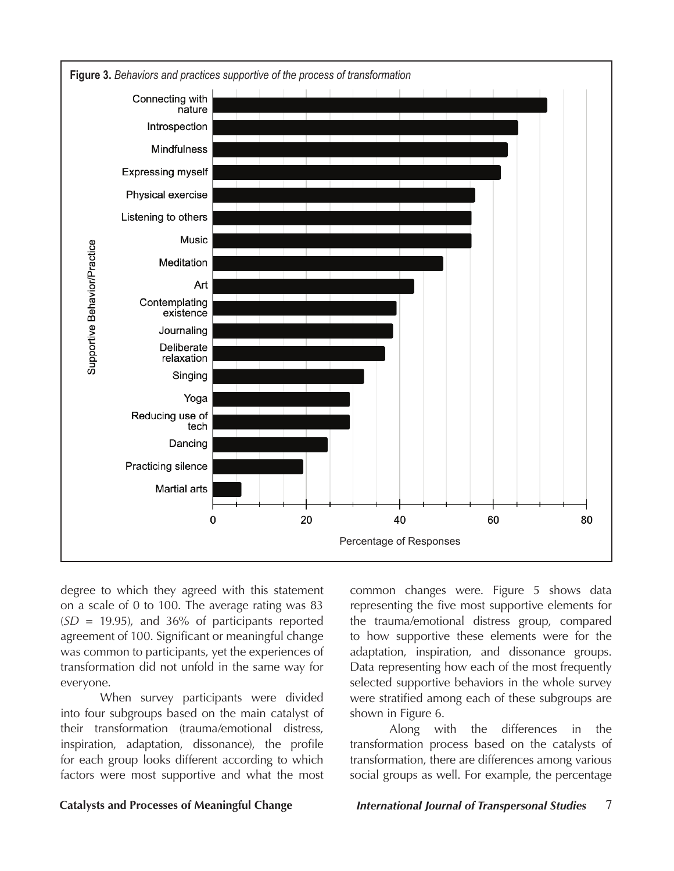

degree to which they agreed with this statement on a scale of 0 to 100. The average rating was 83 (*SD* = 19.95), and 36% of participants reported agreement of 100. Significant or meaningful change was common to participants, yet the experiences of transformation did not unfold in the same way for everyone.

When survey participants were divided into four subgroups based on the main catalyst of their transformation (trauma/emotional distress, inspiration, adaptation, dissonance), the profile for each group looks different according to which factors were most supportive and what the most

common changes were. Figure 5 shows data representing the five most supportive elements for the trauma/emotional distress group, compared to how supportive these elements were for the adaptation, inspiration, and dissonance groups. Data representing how each of the most frequently selected supportive behaviors in the whole survey were stratified among each of these subgroups are shown in Figure 6.

Along with the differences in the transformation process based on the catalysts of transformation, there are differences among various social groups as well. For example, the percentage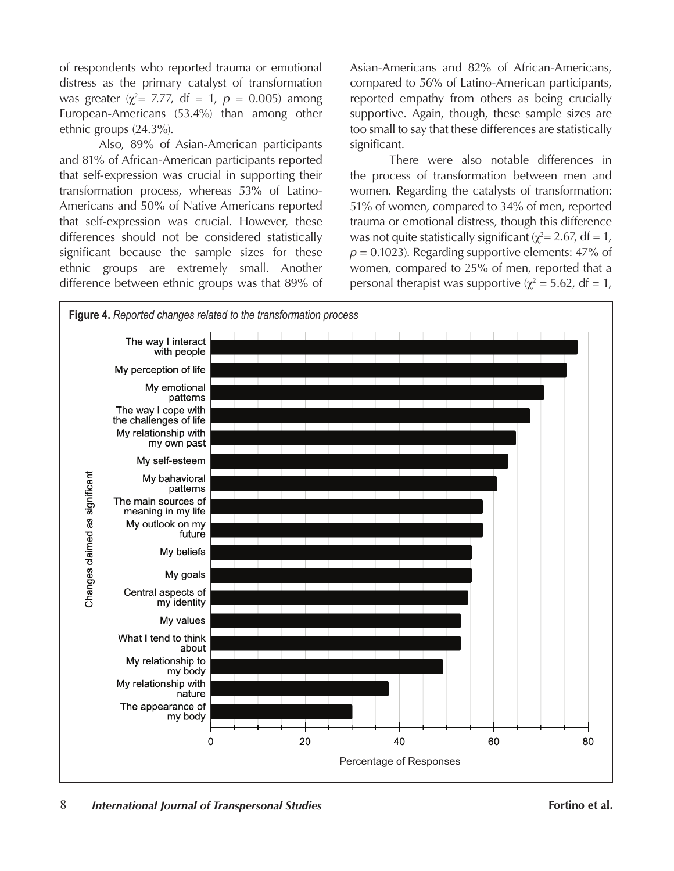of respondents who reported trauma or emotional distress as the primary catalyst of transformation was greater ( $\chi^2$ = 7.77, df = 1,  $p$  = 0.005) among European-Americans (53.4%) than among other ethnic groups (24.3%).

Also, 89% of Asian-American participants and 81% of African-American participants reported that self-expression was crucial in supporting their transformation process, whereas 53% of Latino-Americans and 50% of Native Americans reported that self-expression was crucial. However, these differences should not be considered statistically significant because the sample sizes for these ethnic groups are extremely small. Another difference between ethnic groups was that 89% of Asian-Americans and 82% of African-Americans, compared to 56% of Latino-American participants, reported empathy from others as being crucially supportive. Again, though, these sample sizes are too small to say that these differences are statistically significant.

There were also notable differences in the process of transformation between men and women. Regarding the catalysts of transformation: 51% of women, compared to 34% of men, reported trauma or emotional distress, though this difference was not quite statistically significant ( $\chi^2$  = 2.67, df = 1,  $p = 0.1023$ ). Regarding supportive elements:  $47\%$  of women, compared to 25% of men, reported that a personal therapist was supportive ( $\chi^2$  = 5.62, df = 1,

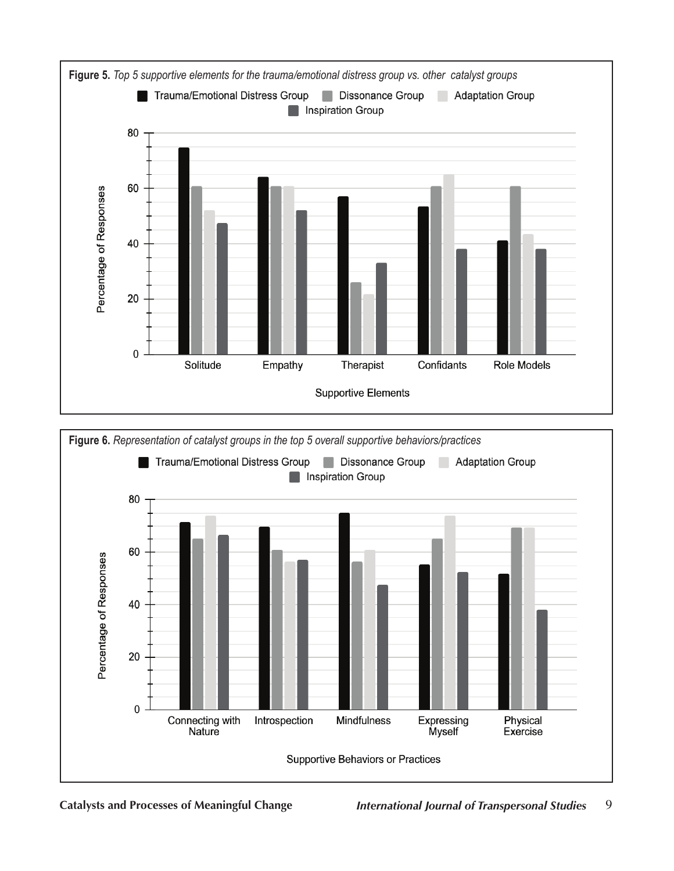

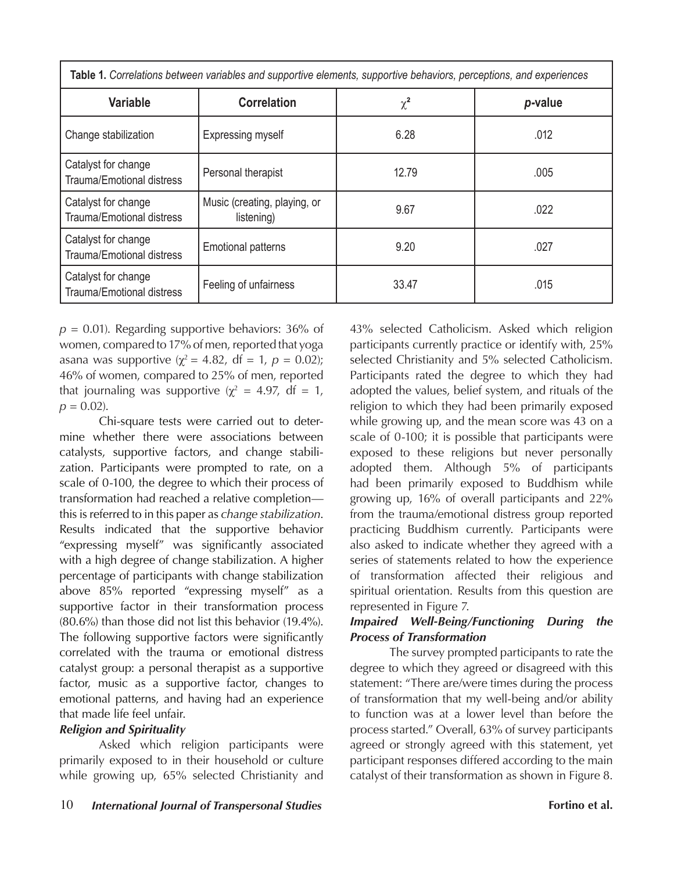| Table 1. Correlations between variables and supportive elements, supportive behaviors, perceptions, and experiences |                                            |          |         |
|---------------------------------------------------------------------------------------------------------------------|--------------------------------------------|----------|---------|
| Variable                                                                                                            | <b>Correlation</b>                         | $\chi^2$ | p-value |
| Change stabilization                                                                                                | <b>Expressing myself</b>                   | 6.28     | .012    |
| Catalyst for change<br><b>Trauma/Emotional distress</b>                                                             | Personal therapist                         | 12.79    | .005    |
| Catalyst for change<br><b>Trauma/Emotional distress</b>                                                             | Music (creating, playing, or<br>listening) | 9.67     | .022    |
| Catalyst for change<br><b>Trauma/Emotional distress</b>                                                             | <b>Emotional patterns</b>                  | 9.20     | .027    |
| Catalyst for change<br><b>Trauma/Emotional distress</b>                                                             | Feeling of unfairness                      | 33.47    | .015    |

 $p = 0.01$ ). Regarding supportive behaviors: 36% of women, compared to 17% of men, reported that yoga asana was supportive ( $\chi^2 = 4.82$ , df = 1,  $p = 0.02$ ); 46% of women, compared to 25% of men, reported that journaling was supportive ( $\chi^2 = 4.97$ , df = 1,  $p = 0.02$ .

Chi-square tests were carried out to determine whether there were associations between catalysts, supportive factors, and change stabilization. Participants were prompted to rate, on a scale of 0-100, the degree to which their process of transformation had reached a relative completion this is referred to in this paper as *change stabilization*. Results indicated that the supportive behavior "expressing myself" was significantly associated with a high degree of change stabilization. A higher percentage of participants with change stabilization above 85% reported "expressing myself" as a supportive factor in their transformation process (80.6%) than those did not list this behavior (19.4%). The following supportive factors were significantly correlated with the trauma or emotional distress catalyst group: a personal therapist as a supportive factor, music as a supportive factor, changes to emotional patterns, and having had an experience that made life feel unfair.

# *Religion and Spirituality*

Asked which religion participants were primarily exposed to in their household or culture while growing up, 65% selected Christianity and

43% selected Catholicism. Asked which religion participants currently practice or identify with, 25% selected Christianity and 5% selected Catholicism. Participants rated the degree to which they had adopted the values, belief system, and rituals of the religion to which they had been primarily exposed while growing up, and the mean score was 43 on a scale of 0-100; it is possible that participants were exposed to these religions but never personally adopted them. Although 5% of participants had been primarily exposed to Buddhism while growing up, 16% of overall participants and 22% from the trauma/emotional distress group reported practicing Buddhism currently. Participants were also asked to indicate whether they agreed with a series of statements related to how the experience of transformation affected their religious and spiritual orientation. Results from this question are represented in Figure 7.

# *Impaired Well-Being/Functioning During the Process of Transformation*

The survey prompted participants to rate the degree to which they agreed or disagreed with this statement: "There are/were times during the process of transformation that my well-being and/or ability to function was at a lower level than before the process started." Overall, 63% of survey participants agreed or strongly agreed with this statement, yet participant responses differed according to the main catalyst of their transformation as shown in Figure 8.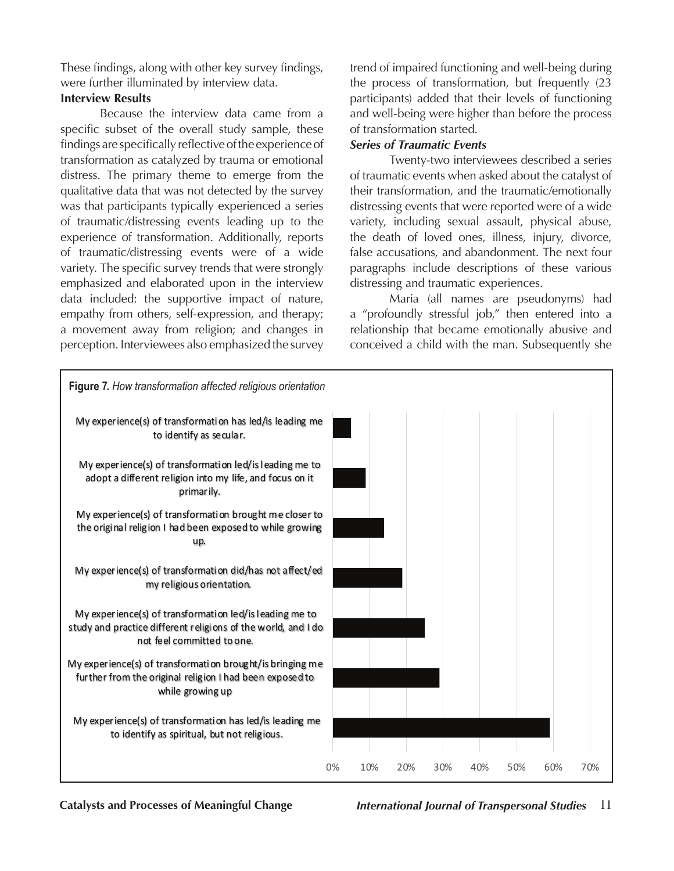These findings, along with other key survey findings, were further illuminated by interview data.

# **Interview Results**

Because the interview data came from a specific subset of the overall study sample, these findings are specifically reflective of the experience of transformation as catalyzed by trauma or emotional distress. The primary theme to emerge from the qualitative data that was not detected by the survey was that participants typically experienced a series of traumatic/distressing events leading up to the experience of transformation. Additionally, reports of traumatic/distressing events were of a wide variety. The specific survey trends that were strongly emphasized and elaborated upon in the interview data included: the supportive impact of nature, empathy from others, self-expression, and therapy; a movement away from religion; and changes in perception. Interviewees also emphasized the survey trend of impaired functioning and well-being during the process of transformation, but frequently (23 participants) added that their levels of functioning and well-being were higher than before the process of transformation started.

# *Series of Traumatic Events*

Twenty-two interviewees described a series of traumatic events when asked about the catalyst of their transformation, and the traumatic/emotionally distressing events that were reported were of a wide variety, including sexual assault, physical abuse, the death of loved ones, illness, injury, divorce, false accusations, and abandonment. The next four paragraphs include descriptions of these various distressing and traumatic experiences.

Maria (all names are pseudonyms) had a "profoundly stressful job," then entered into a relationship that became emotionally abusive and conceived a child with the man. Subsequently she

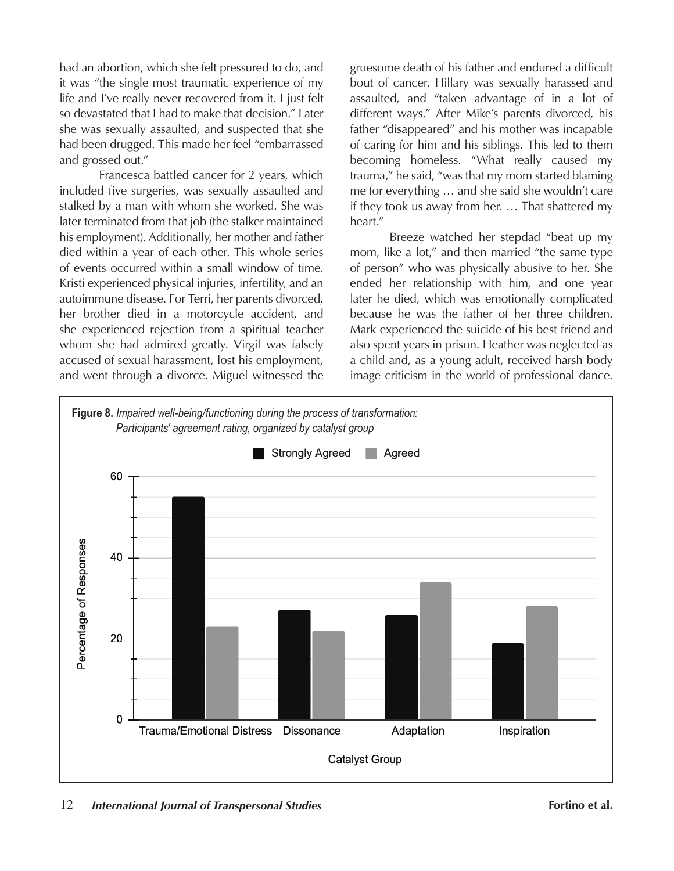had an abortion, which she felt pressured to do, and it was "the single most traumatic experience of my life and I've really never recovered from it. I just felt so devastated that I had to make that decision." Later she was sexually assaulted, and suspected that she had been drugged. This made her feel "embarrassed and grossed out."

Francesca battled cancer for 2 years, which included five surgeries, was sexually assaulted and stalked by a man with whom she worked. She was later terminated from that job (the stalker maintained his employment). Additionally, her mother and father died within a year of each other. This whole series of events occurred within a small window of time. Kristi experienced physical injuries, infertility, and an autoimmune disease. For Terri, her parents divorced, her brother died in a motorcycle accident, and she experienced rejection from a spiritual teacher whom she had admired greatly. Virgil was falsely accused of sexual harassment, lost his employment, and went through a divorce. Miguel witnessed the gruesome death of his father and endured a difficult bout of cancer. Hillary was sexually harassed and assaulted, and "taken advantage of in a lot of different ways." After Mike's parents divorced, his father "disappeared" and his mother was incapable of caring for him and his siblings. This led to them becoming homeless. "What really caused my trauma," he said, "was that my mom started blaming me for everything … and she said she wouldn't care if they took us away from her. … That shattered my heart."

Breeze watched her stepdad "beat up my mom, like a lot," and then married "the same type of person" who was physically abusive to her. She ended her relationship with him, and one year later he died, which was emotionally complicated because he was the father of her three children. Mark experienced the suicide of his best friend and also spent years in prison. Heather was neglected as a child and, as a young adult, received harsh body image criticism in the world of professional dance.

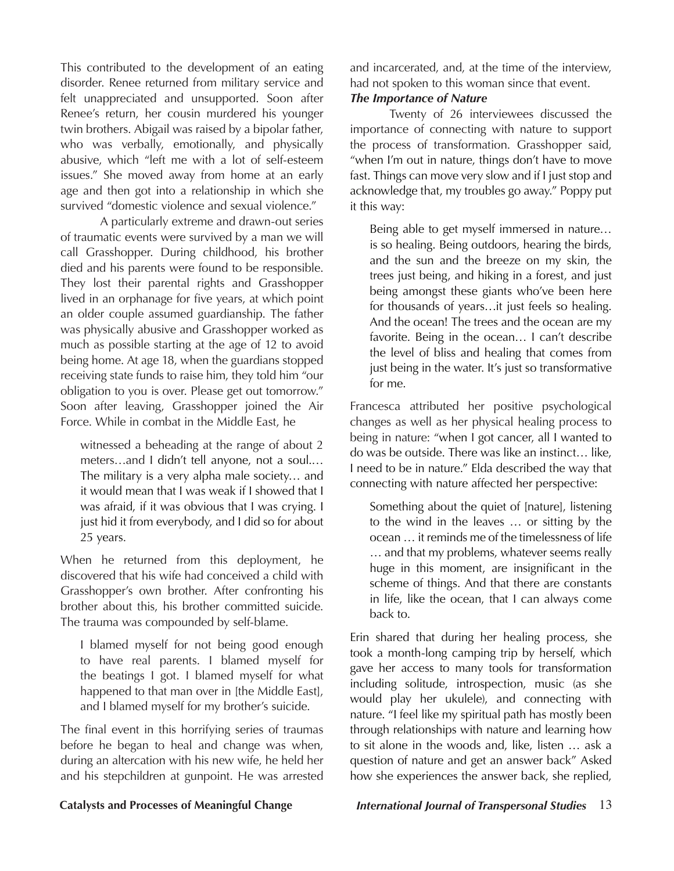This contributed to the development of an eating disorder. Renee returned from military service and felt unappreciated and unsupported. Soon after Renee's return, her cousin murdered his younger twin brothers. Abigail was raised by a bipolar father, who was verbally, emotionally, and physically abusive, which "left me with a lot of self-esteem issues." She moved away from home at an early age and then got into a relationship in which she survived "domestic violence and sexual violence."

A particularly extreme and drawn-out series of traumatic events were survived by a man we will call Grasshopper. During childhood, his brother died and his parents were found to be responsible. They lost their parental rights and Grasshopper lived in an orphanage for five years, at which point an older couple assumed guardianship. The father was physically abusive and Grasshopper worked as much as possible starting at the age of 12 to avoid being home. At age 18, when the guardians stopped receiving state funds to raise him, they told him "our obligation to you is over. Please get out tomorrow." Soon after leaving, Grasshopper joined the Air Force. While in combat in the Middle East, he

witnessed a beheading at the range of about 2 meters…and I didn't tell anyone, not a soul.… The military is a very alpha male society… and it would mean that I was weak if I showed that I was afraid, if it was obvious that I was crying. I just hid it from everybody, and I did so for about 25 years.

When he returned from this deployment, he discovered that his wife had conceived a child with Grasshopper's own brother. After confronting his brother about this, his brother committed suicide. The trauma was compounded by self-blame.

I blamed myself for not being good enough to have real parents. I blamed myself for the beatings I got. I blamed myself for what happened to that man over in [the Middle East], and I blamed myself for my brother's suicide.

The final event in this horrifying series of traumas before he began to heal and change was when, during an altercation with his new wife, he held her and his stepchildren at gunpoint. He was arrested and incarcerated, and, at the time of the interview, had not spoken to this woman since that event.

# *The Importance of Nature*

Twenty of 26 interviewees discussed the importance of connecting with nature to support the process of transformation. Grasshopper said, "when I'm out in nature, things don't have to move fast. Things can move very slow and if I just stop and acknowledge that, my troubles go away." Poppy put it this way:

Being able to get myself immersed in nature… is so healing. Being outdoors, hearing the birds, and the sun and the breeze on my skin, the trees just being, and hiking in a forest, and just being amongst these giants who've been here for thousands of years…it just feels so healing. And the ocean! The trees and the ocean are my favorite. Being in the ocean… I can't describe the level of bliss and healing that comes from just being in the water. It's just so transformative for me.

Francesca attributed her positive psychological changes as well as her physical healing process to being in nature: "when I got cancer, all I wanted to do was be outside. There was like an instinct… like, I need to be in nature." Elda described the way that connecting with nature affected her perspective:

Something about the quiet of [nature], listening to the wind in the leaves … or sitting by the ocean … it reminds me of the timelessness of life … and that my problems, whatever seems really huge in this moment, are insignificant in the scheme of things. And that there are constants in life, like the ocean, that I can always come back to.

Erin shared that during her healing process, she took a month-long camping trip by herself, which gave her access to many tools for transformation including solitude, introspection, music (as she would play her ukulele), and connecting with nature. "I feel like my spiritual path has mostly been through relationships with nature and learning how to sit alone in the woods and, like, listen … ask a question of nature and get an answer back" Asked how she experiences the answer back, she replied,

# **Catalysts and Processes of Meaningful Change** *International Journal of Transpersonal Studies* 13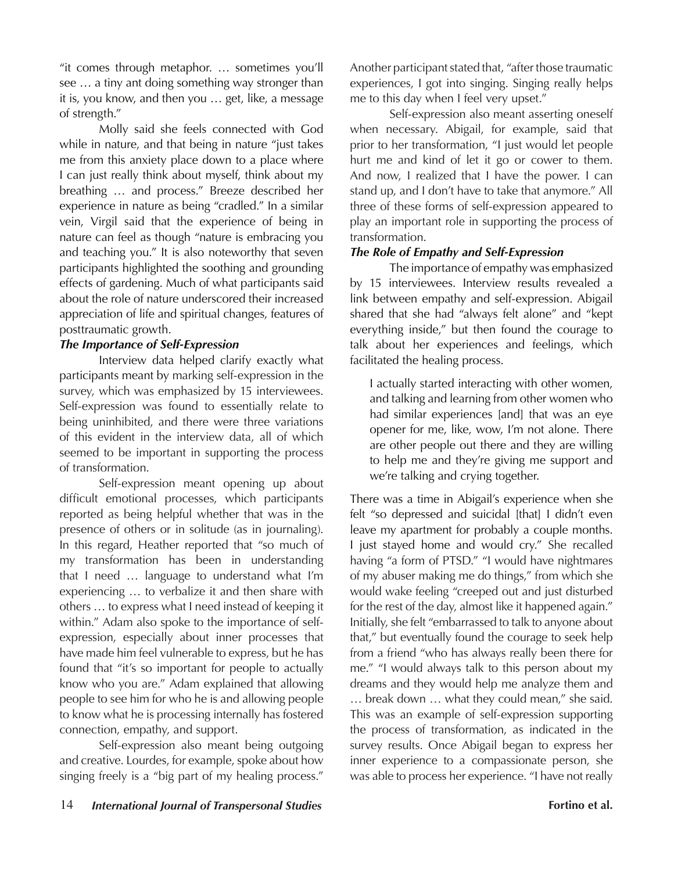"it comes through metaphor. … sometimes you'll see … a tiny ant doing something way stronger than it is, you know, and then you … get, like, a message of strength."

Molly said she feels connected with God while in nature, and that being in nature "just takes me from this anxiety place down to a place where I can just really think about myself, think about my breathing … and process." Breeze described her experience in nature as being "cradled." In a similar vein, Virgil said that the experience of being in nature can feel as though "nature is embracing you and teaching you." It is also noteworthy that seven participants highlighted the soothing and grounding effects of gardening. Much of what participants said about the role of nature underscored their increased appreciation of life and spiritual changes, features of posttraumatic growth.

# *The Importance of Self-Expression*

Interview data helped clarify exactly what participants meant by marking self-expression in the survey, which was emphasized by 15 interviewees. Self-expression was found to essentially relate to being uninhibited, and there were three variations of this evident in the interview data, all of which seemed to be important in supporting the process of transformation.

Self-expression meant opening up about difficult emotional processes, which participants reported as being helpful whether that was in the presence of others or in solitude (as in journaling). In this regard, Heather reported that "so much of my transformation has been in understanding that I need … language to understand what I'm experiencing … to verbalize it and then share with others … to express what I need instead of keeping it within." Adam also spoke to the importance of selfexpression, especially about inner processes that have made him feel vulnerable to express, but he has found that "it's so important for people to actually know who you are." Adam explained that allowing people to see him for who he is and allowing people to know what he is processing internally has fostered connection, empathy, and support.

Self-expression also meant being outgoing and creative. Lourdes, for example, spoke about how singing freely is a "big part of my healing process."

Another participant stated that, "after those traumatic experiences, I got into singing. Singing really helps me to this day when I feel very upset."

Self-expression also meant asserting oneself when necessary. Abigail, for example, said that prior to her transformation, "I just would let people hurt me and kind of let it go or cower to them. And now, I realized that I have the power. I can stand up, and I don't have to take that anymore." All three of these forms of self-expression appeared to play an important role in supporting the process of transformation.

# *The Role of Empathy and Self-Expression*

The importance of empathy was emphasized by 15 interviewees. Interview results revealed a link between empathy and self-expression. Abigail shared that she had "always felt alone" and "kept everything inside," but then found the courage to talk about her experiences and feelings, which facilitated the healing process.

I actually started interacting with other women, and talking and learning from other women who had similar experiences [and] that was an eye opener for me, like, wow, I'm not alone. There are other people out there and they are willing to help me and they're giving me support and we're talking and crying together.

There was a time in Abigail's experience when she felt "so depressed and suicidal [that] I didn't even leave my apartment for probably a couple months. I just stayed home and would cry." She recalled having "a form of PTSD." "I would have nightmares of my abuser making me do things," from which she would wake feeling "creeped out and just disturbed for the rest of the day, almost like it happened again." Initially, she felt "embarrassed to talk to anyone about that," but eventually found the courage to seek help from a friend "who has always really been there for me." "I would always talk to this person about my dreams and they would help me analyze them and … break down … what they could mean," she said. This was an example of self-expression supporting the process of transformation, as indicated in the survey results. Once Abigail began to express her inner experience to a compassionate person, she was able to process her experience. "I have not really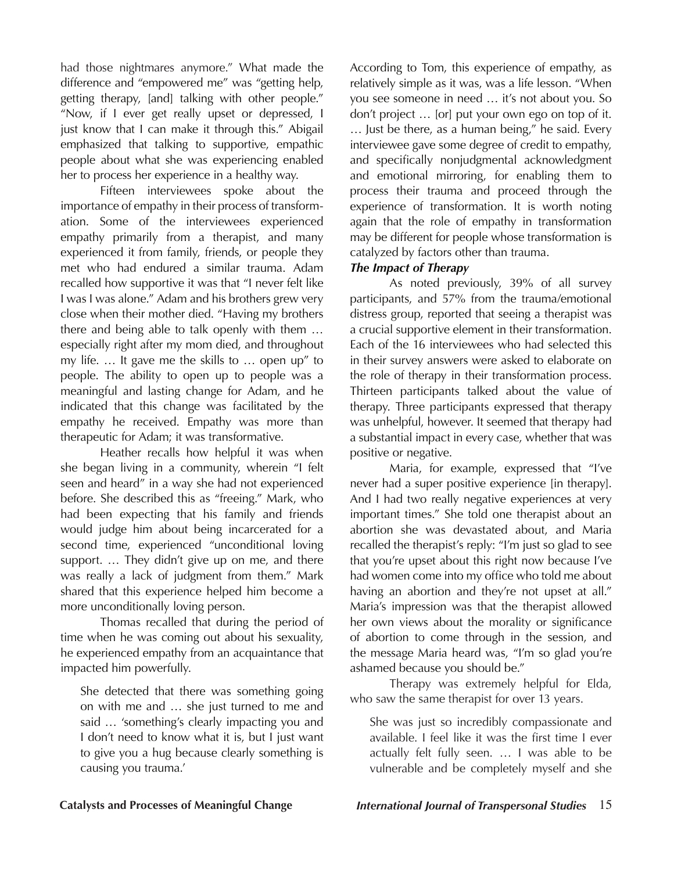had those nightmares anymore." What made the difference and "empowered me" was "getting help, getting therapy, [and] talking with other people." "Now, if I ever get really upset or depressed, I just know that I can make it through this." Abigail emphasized that talking to supportive, empathic people about what she was experiencing enabled her to process her experience in a healthy way.

Fifteen interviewees spoke about the importance of empathy in their process of transformation. Some of the interviewees experienced empathy primarily from a therapist, and many experienced it from family, friends, or people they met who had endured a similar trauma. Adam recalled how supportive it was that "I never felt like I was I was alone." Adam and his brothers grew very close when their mother died. "Having my brothers there and being able to talk openly with them … especially right after my mom died, and throughout my life. … It gave me the skills to … open up" to people. The ability to open up to people was a meaningful and lasting change for Adam, and he indicated that this change was facilitated by the empathy he received. Empathy was more than therapeutic for Adam; it was transformative.

Heather recalls how helpful it was when she began living in a community, wherein "I felt seen and heard" in a way she had not experienced before. She described this as "freeing." Mark, who had been expecting that his family and friends would judge him about being incarcerated for a second time, experienced "unconditional loving support. … They didn't give up on me, and there was really a lack of judgment from them." Mark shared that this experience helped him become a more unconditionally loving person.

Thomas recalled that during the period of time when he was coming out about his sexuality, he experienced empathy from an acquaintance that impacted him powerfully.

She detected that there was something going on with me and … she just turned to me and said … 'something's clearly impacting you and I don't need to know what it is, but I just want to give you a hug because clearly something is causing you trauma.'

According to Tom, this experience of empathy, as relatively simple as it was, was a life lesson. "When you see someone in need … it's not about you. So don't project … [or] put your own ego on top of it. … Just be there, as a human being," he said. Every interviewee gave some degree of credit to empathy, and specifically nonjudgmental acknowledgment and emotional mirroring, for enabling them to process their trauma and proceed through the experience of transformation. It is worth noting again that the role of empathy in transformation may be different for people whose transformation is catalyzed by factors other than trauma.

# *The Impact of Therapy*

As noted previously, 39% of all survey participants, and 57% from the trauma/emotional distress group, reported that seeing a therapist was a crucial supportive element in their transformation. Each of the 16 interviewees who had selected this in their survey answers were asked to elaborate on the role of therapy in their transformation process. Thirteen participants talked about the value of therapy. Three participants expressed that therapy was unhelpful, however. It seemed that therapy had a substantial impact in every case, whether that was positive or negative.

Maria, for example, expressed that "I've never had a super positive experience [in therapy]. And I had two really negative experiences at very important times." She told one therapist about an abortion she was devastated about, and Maria recalled the therapist's reply: "I'm just so glad to see that you're upset about this right now because I've had women come into my office who told me about having an abortion and they're not upset at all." Maria's impression was that the therapist allowed her own views about the morality or significance of abortion to come through in the session, and the message Maria heard was, "I'm so glad you're ashamed because you should be."

Therapy was extremely helpful for Elda, who saw the same therapist for over 13 years.

She was just so incredibly compassionate and available. I feel like it was the first time I ever actually felt fully seen. … I was able to be vulnerable and be completely myself and she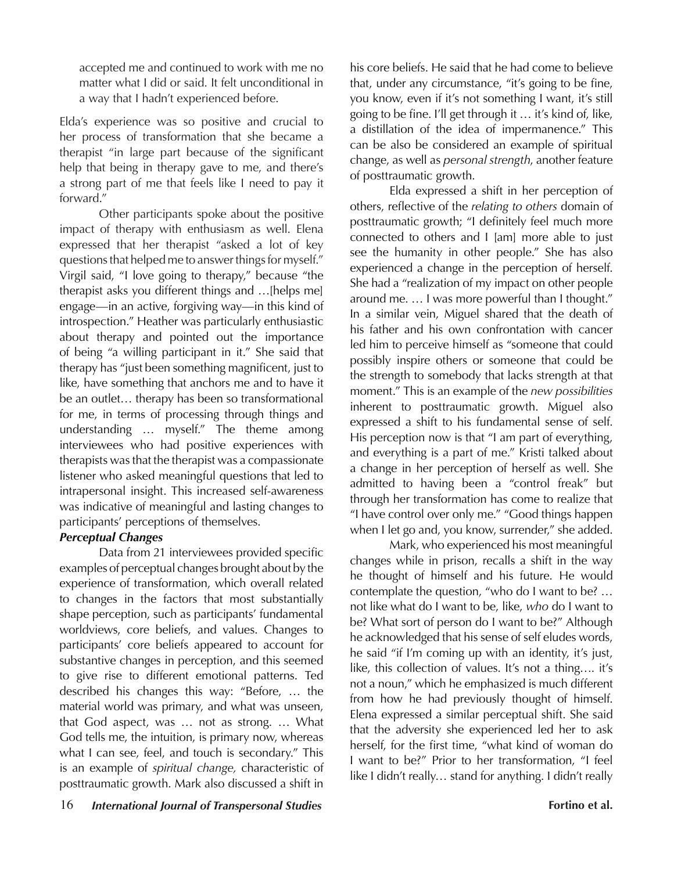accepted me and continued to work with me no matter what I did or said. It felt unconditional in a way that I hadn't experienced before.

Elda's experience was so positive and crucial to her process of transformation that she became a therapist "in large part because of the significant help that being in therapy gave to me, and there's a strong part of me that feels like I need to pay it forward."

Other participants spoke about the positive impact of therapy with enthusiasm as well. Elena expressed that her therapist "asked a lot of key questions that helped me to answer things for myself." Virgil said, "I love going to therapy," because "the therapist asks you different things and …[helps me] engage—in an active, forgiving way—in this kind of introspection." Heather was particularly enthusiastic about therapy and pointed out the importance of being "a willing participant in it." She said that therapy has "just been something magnificent, just to like, have something that anchors me and to have it be an outlet… therapy has been so transformational for me, in terms of processing through things and understanding … myself." The theme among interviewees who had positive experiences with therapists was that the therapist was a compassionate listener who asked meaningful questions that led to intrapersonal insight. This increased self-awareness was indicative of meaningful and lasting changes to participants' perceptions of themselves.

# *Perceptual Changes*

Data from 21 interviewees provided specific examples of perceptual changes brought about by the experience of transformation, which overall related to changes in the factors that most substantially shape perception, such as participants' fundamental worldviews, core beliefs, and values. Changes to participants' core beliefs appeared to account for substantive changes in perception, and this seemed to give rise to different emotional patterns. Ted described his changes this way: "Before, … the material world was primary, and what was unseen, that God aspect, was … not as strong. … What God tells me, the intuition, is primary now, whereas what I can see, feel, and touch is secondary." This is an example of *spiritual change,* characteristic of posttraumatic growth. Mark also discussed a shift in

his core beliefs. He said that he had come to believe that, under any circumstance, "it's going to be fine, you know, even if it's not something I want, it's still going to be fine. I'll get through it … it's kind of, like, a distillation of the idea of impermanence." This can be also be considered an example of spiritual change, as well as *personal strength*, another feature of posttraumatic growth.

Elda expressed a shift in her perception of others, reflective of the *relating to others* domain of posttraumatic growth; "I definitely feel much more connected to others and I [am] more able to just see the humanity in other people." She has also experienced a change in the perception of herself. She had a "realization of my impact on other people around me. … I was more powerful than I thought." In a similar vein, Miguel shared that the death of his father and his own confrontation with cancer led him to perceive himself as "someone that could possibly inspire others or someone that could be the strength to somebody that lacks strength at that moment." This is an example of the *new possibilities*  inherent to posttraumatic growth. Miguel also expressed a shift to his fundamental sense of self. His perception now is that "I am part of everything, and everything is a part of me." Kristi talked about a change in her perception of herself as well. She admitted to having been a "control freak" but through her transformation has come to realize that "I have control over only me." "Good things happen when I let go and, you know, surrender," she added.

Mark, who experienced his most meaningful changes while in prison, recalls a shift in the way he thought of himself and his future. He would contemplate the question, "who do I want to be? … not like what do I want to be, like, *who* do I want to be? What sort of person do I want to be?" Although he acknowledged that his sense of self eludes words, he said "if I'm coming up with an identity, it's just, like, this collection of values. It's not a thing…. it's not a noun," which he emphasized is much different from how he had previously thought of himself. Elena expressed a similar perceptual shift. She said that the adversity she experienced led her to ask herself, for the first time, "what kind of woman do I want to be?" Prior to her transformation, "I feel like I didn't really… stand for anything. I didn't really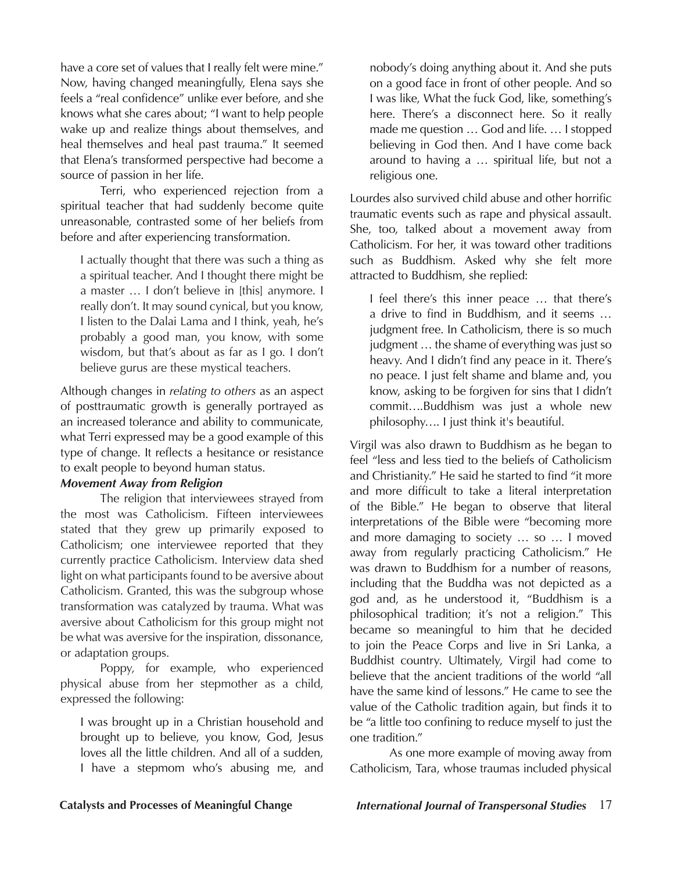have a core set of values that I really felt were mine." Now, having changed meaningfully, Elena says she feels a "real confidence" unlike ever before, and she knows what she cares about; "I want to help people wake up and realize things about themselves, and heal themselves and heal past trauma." It seemed that Elena's transformed perspective had become a source of passion in her life.

Terri, who experienced rejection from a spiritual teacher that had suddenly become quite unreasonable, contrasted some of her beliefs from before and after experiencing transformation.

I actually thought that there was such a thing as a spiritual teacher. And I thought there might be a master … I don't believe in [this] anymore. I really don't. It may sound cynical, but you know, I listen to the Dalai Lama and I think, yeah, he's probably a good man, you know, with some wisdom, but that's about as far as I go. I don't believe gurus are these mystical teachers.

Although changes in *relating to others* as an aspect of posttraumatic growth is generally portrayed as an increased tolerance and ability to communicate, what Terri expressed may be a good example of this type of change. It reflects a hesitance or resistance to exalt people to beyond human status.

# *Movement Away from Religion*

The religion that interviewees strayed from the most was Catholicism. Fifteen interviewees stated that they grew up primarily exposed to Catholicism; one interviewee reported that they currently practice Catholicism. Interview data shed light on what participants found to be aversive about Catholicism. Granted, this was the subgroup whose transformation was catalyzed by trauma. What was aversive about Catholicism for this group might not be what was aversive for the inspiration, dissonance, or adaptation groups.

Poppy, for example, who experienced physical abuse from her stepmother as a child, expressed the following:

I was brought up in a Christian household and brought up to believe, you know, God, Jesus loves all the little children. And all of a sudden, I have a stepmom who's abusing me, and

nobody's doing anything about it. And she puts on a good face in front of other people. And so I was like, What the fuck God, like, something's here. There's a disconnect here. So it really made me question … God and life. … I stopped believing in God then. And I have come back around to having a … spiritual life, but not a religious one.

Lourdes also survived child abuse and other horrific traumatic events such as rape and physical assault. She, too, talked about a movement away from Catholicism. For her, it was toward other traditions such as Buddhism. Asked why she felt more attracted to Buddhism, she replied:

I feel there's this inner peace … that there's a drive to find in Buddhism, and it seems … judgment free. In Catholicism, there is so much judgment … the shame of everything was just so heavy. And I didn't find any peace in it. There's no peace. I just felt shame and blame and, you know, asking to be forgiven for sins that I didn't commit….Buddhism was just a whole new philosophy…. I just think it's beautiful.

Virgil was also drawn to Buddhism as he began to feel "less and less tied to the beliefs of Catholicism and Christianity." He said he started to find "it more and more difficult to take a literal interpretation of the Bible." He began to observe that literal interpretations of the Bible were "becoming more and more damaging to society … so … I moved away from regularly practicing Catholicism." He was drawn to Buddhism for a number of reasons, including that the Buddha was not depicted as a god and, as he understood it, "Buddhism is a philosophical tradition; it's not a religion." This became so meaningful to him that he decided to join the Peace Corps and live in Sri Lanka, a Buddhist country. Ultimately, Virgil had come to believe that the ancient traditions of the world "all have the same kind of lessons." He came to see the value of the Catholic tradition again, but finds it to be "a little too confining to reduce myself to just the one tradition."

As one more example of moving away from Catholicism, Tara, whose traumas included physical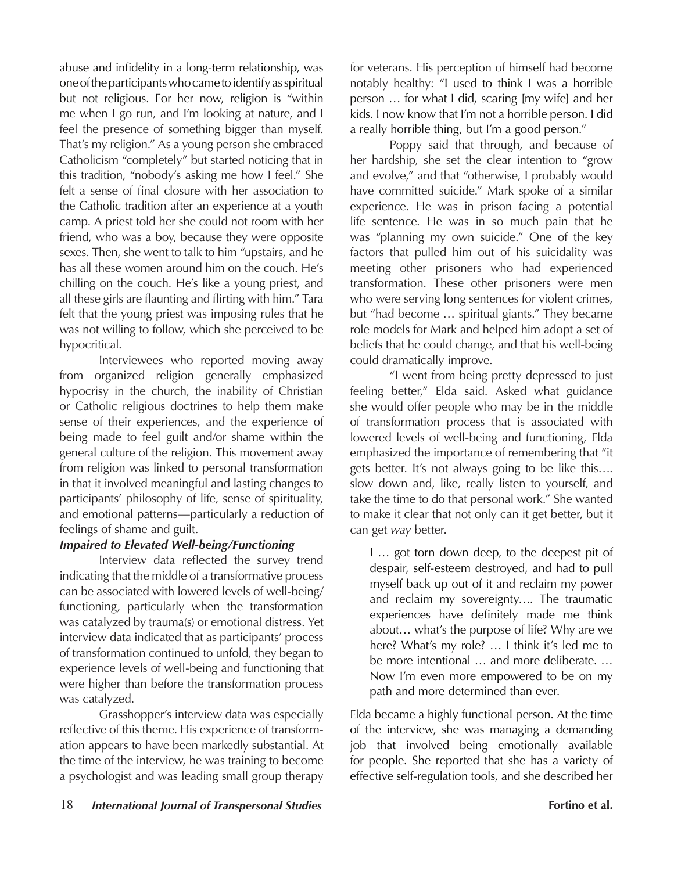abuse and infidelity in a long-term relationship, was one of the participants who came to identify as spiritual but not religious. For her now, religion is "within me when I go run, and I'm looking at nature, and I feel the presence of something bigger than myself. That's my religion." As a young person she embraced Catholicism "completely" but started noticing that in this tradition, "nobody's asking me how I feel." She felt a sense of final closure with her association to the Catholic tradition after an experience at a youth camp. A priest told her she could not room with her friend, who was a boy, because they were opposite sexes. Then, she went to talk to him "upstairs, and he has all these women around him on the couch. He's chilling on the couch. He's like a young priest, and all these girls are flaunting and flirting with him." Tara felt that the young priest was imposing rules that he was not willing to follow, which she perceived to be hypocritical.

Interviewees who reported moving away from organized religion generally emphasized hypocrisy in the church, the inability of Christian or Catholic religious doctrines to help them make sense of their experiences, and the experience of being made to feel guilt and/or shame within the general culture of the religion. This movement away from religion was linked to personal transformation in that it involved meaningful and lasting changes to participants' philosophy of life, sense of spirituality, and emotional patterns—particularly a reduction of feelings of shame and guilt.

# *Impaired to Elevated Well-being/Functioning*

Interview data reflected the survey trend indicating that the middle of a transformative process can be associated with lowered levels of well-being/ functioning, particularly when the transformation was catalyzed by trauma(s) or emotional distress. Yet interview data indicated that as participants' process of transformation continued to unfold, they began to experience levels of well-being and functioning that were higher than before the transformation process was catalyzed.

Grasshopper's interview data was especially reflective of this theme. His experience of transformation appears to have been markedly substantial. At the time of the interview, he was training to become a psychologist and was leading small group therapy for veterans. His perception of himself had become notably healthy: "I used to think I was a horrible person … for what I did, scaring [my wife] and her kids. I now know that I'm not a horrible person. I did a really horrible thing, but I'm a good person."

Poppy said that through, and because of her hardship, she set the clear intention to "grow and evolve," and that "otherwise, I probably would have committed suicide." Mark spoke of a similar experience. He was in prison facing a potential life sentence. He was in so much pain that he was "planning my own suicide." One of the key factors that pulled him out of his suicidality was meeting other prisoners who had experienced transformation. These other prisoners were men who were serving long sentences for violent crimes, but "had become … spiritual giants." They became role models for Mark and helped him adopt a set of beliefs that he could change, and that his well-being could dramatically improve.

"I went from being pretty depressed to just feeling better," Elda said. Asked what guidance she would offer people who may be in the middle of transformation process that is associated with lowered levels of well-being and functioning, Elda emphasized the importance of remembering that "it gets better. It's not always going to be like this…. slow down and, like, really listen to yourself, and take the time to do that personal work." She wanted to make it clear that not only can it get better, but it can get *way* better.

I … got torn down deep, to the deepest pit of despair, self-esteem destroyed, and had to pull myself back up out of it and reclaim my power and reclaim my sovereignty…. The traumatic experiences have definitely made me think about… what's the purpose of life? Why are we here? What's my role? … I think it's led me to be more intentional … and more deliberate. … Now I'm even more empowered to be on my path and more determined than ever.

Elda became a highly functional person. At the time of the interview, she was managing a demanding job that involved being emotionally available for people. She reported that she has a variety of effective self-regulation tools, and she described her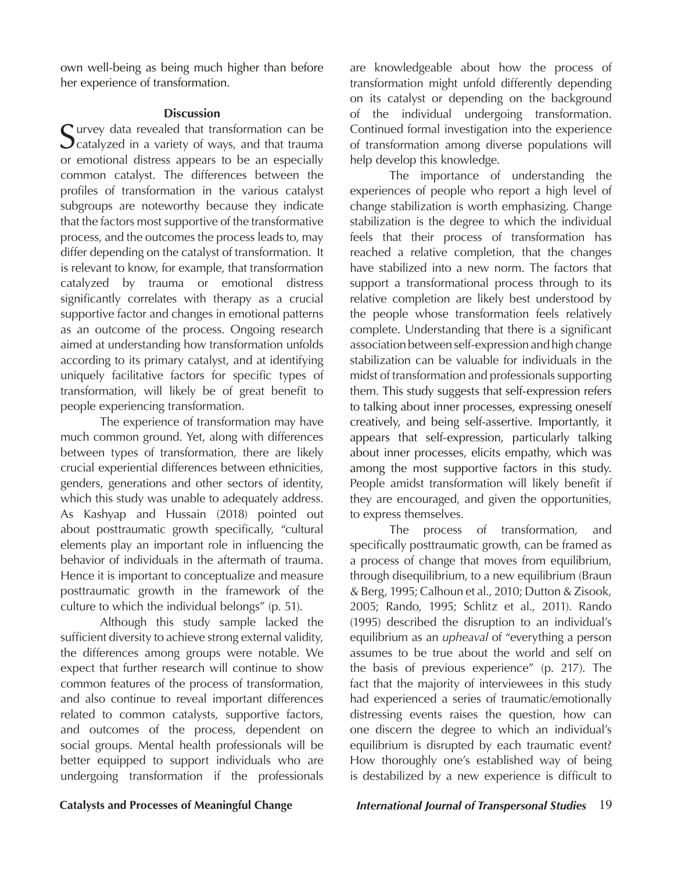own well-being as being much higher than before her experience of transformation.

### **Discussion**

Survey data revealed that transformation can be Scatalyzed in a variety of ways, and that trauma or emotional distress appears to be an especially common catalyst. The differences between the profiles of transformation in the various catalyst subgroups are noteworthy because they indicate that the factors most supportive of the transformative process, and the outcomes the process leads to, may differ depending on the catalyst of transformation. It is relevant to know, for example, that transformation catalyzed by trauma or emotional distress significantly correlates with therapy as a crucial supportive factor and changes in emotional patterns as an outcome of the process. Ongoing research aimed at understanding how transformation unfolds according to its primary catalyst, and at identifying uniquely facilitative factors for specific types of transformation, will likely be of great benefit to people experiencing transformation.

The experience of transformation may have much common ground. Yet, along with differences between types of transformation, there are likely crucial experiential differences between ethnicities, genders, generations and other sectors of identity, which this study was unable to adequately address. As Kashyap and Hussain (2018) pointed out about posttraumatic growth specifically, "cultural elements play an important role in influencing the behavior of individuals in the aftermath of trauma. Hence it is important to conceptualize and measure posttraumatic growth in the framework of the culture to which the individual belongs" (p. 51).

Although this study sample lacked the sufficient diversity to achieve strong external validity, the differences among groups were notable. We expect that further research will continue to show common features of the process of transformation, and also continue to reveal important differences related to common catalysts, supportive factors, and outcomes of the process, dependent on social groups. Mental health professionals will be better equipped to support individuals who are undergoing transformation if the professionals

are knowledgeable about how the process of transformation might unfold differently depending on its catalyst or depending on the background of the individual undergoing transformation. Continued formal investigation into the experience of transformation among diverse populations will help develop this knowledge.

The importance of understanding the experiences of people who report a high level of change stabilization is worth emphasizing. Change stabilization is the degree to which the individual feels that their process of transformation has reached a relative completion, that the changes have stabilized into a new norm. The factors that support a transformational process through to its relative completion are likely best understood by the people whose transformation feels relatively complete. Understanding that there is a significant association between self-expression and high change stabilization can be valuable for individuals in the midst of transformation and professionals supporting them. This study suggests that self-expression refers to talking about inner processes, expressing oneself creatively, and being self-assertive. Importantly, it appears that self-expression, particularly talking about inner processes, elicits empathy, which was among the most supportive factors in this study. People amidst transformation will likely benefit if they are encouraged, and given the opportunities, to express themselves.

The process of transformation, and specifically posttraumatic growth, can be framed as a process of change that moves from equilibrium, through disequilibrium, to a new equilibrium (Braun & Berg, 1995; Calhoun et al., 2010; Dutton & Zisook, 2005; Rando, 1995; Schlitz et al., 2011). Rando (1995) described the disruption to an individual's equilibrium as an *upheaval* of "everything a person assumes to be true about the world and self on the basis of previous experience" (p. 217). The fact that the majority of interviewees in this study had experienced a series of traumatic/emotionally distressing events raises the question, how can one discern the degree to which an individual's equilibrium is disrupted by each traumatic event? How thoroughly one's established way of being is destabilized by a new experience is difficult to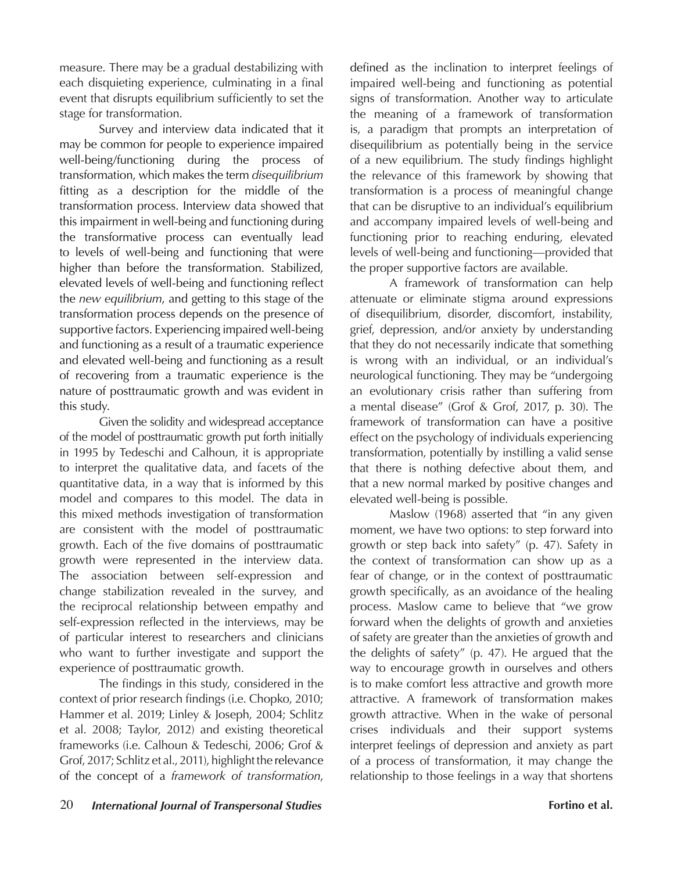measure. There may be a gradual destabilizing with each disquieting experience, culminating in a final event that disrupts equilibrium sufficiently to set the stage for transformation.

Survey and interview data indicated that it may be common for people to experience impaired well-being/functioning during the process of transformation, which makes the term *disequilibrium* fitting as a description for the middle of the transformation process. Interview data showed that this impairment in well-being and functioning during the transformative process can eventually lead to levels of well-being and functioning that were higher than before the transformation. Stabilized, elevated levels of well-being and functioning reflect the *new equilibrium*, and getting to this stage of the transformation process depends on the presence of supportive factors. Experiencing impaired well-being and functioning as a result of a traumatic experience and elevated well-being and functioning as a result of recovering from a traumatic experience is the nature of posttraumatic growth and was evident in this study.

Given the solidity and widespread acceptance of the model of posttraumatic growth put forth initially in 1995 by Tedeschi and Calhoun, it is appropriate to interpret the qualitative data, and facets of the quantitative data, in a way that is informed by this model and compares to this model. The data in this mixed methods investigation of transformation are consistent with the model of posttraumatic growth. Each of the five domains of posttraumatic growth were represented in the interview data. The association between self-expression and change stabilization revealed in the survey, and the reciprocal relationship between empathy and self-expression reflected in the interviews, may be of particular interest to researchers and clinicians who want to further investigate and support the experience of posttraumatic growth.

The findings in this study, considered in the context of prior research findings (i.e. Chopko, 2010; Hammer et al. 2019; Linley & Joseph, 2004; Schlitz et al. 2008; Taylor, 2012) and existing theoretical frameworks (i.e. Calhoun & Tedeschi, 2006; Grof & Grof, 2017; Schlitz et al., 2011), highlight the relevance of the concept of a *framework of transformation*,

defined as the inclination to interpret feelings of impaired well-being and functioning as potential signs of transformation. Another way to articulate the meaning of a framework of transformation is, a paradigm that prompts an interpretation of disequilibrium as potentially being in the service of a new equilibrium. The study findings highlight the relevance of this framework by showing that transformation is a process of meaningful change that can be disruptive to an individual's equilibrium and accompany impaired levels of well-being and functioning prior to reaching enduring, elevated levels of well-being and functioning—provided that the proper supportive factors are available.

A framework of transformation can help attenuate or eliminate stigma around expressions of disequilibrium, disorder, discomfort, instability, grief, depression, and/or anxiety by understanding that they do not necessarily indicate that something is wrong with an individual, or an individual's neurological functioning. They may be "undergoing an evolutionary crisis rather than suffering from a mental disease" (Grof & Grof, 2017, p. 30). The framework of transformation can have a positive effect on the psychology of individuals experiencing transformation, potentially by instilling a valid sense that there is nothing defective about them, and that a new normal marked by positive changes and elevated well-being is possible.

Maslow (1968) asserted that "in any given moment, we have two options: to step forward into growth or step back into safety" (p. 47). Safety in the context of transformation can show up as a fear of change, or in the context of posttraumatic growth specifically, as an avoidance of the healing process. Maslow came to believe that "we grow forward when the delights of growth and anxieties of safety are greater than the anxieties of growth and the delights of safety" (p. 47). He argued that the way to encourage growth in ourselves and others is to make comfort less attractive and growth more attractive. A framework of transformation makes growth attractive. When in the wake of personal crises individuals and their support systems interpret feelings of depression and anxiety as part of a process of transformation, it may change the relationship to those feelings in a way that shortens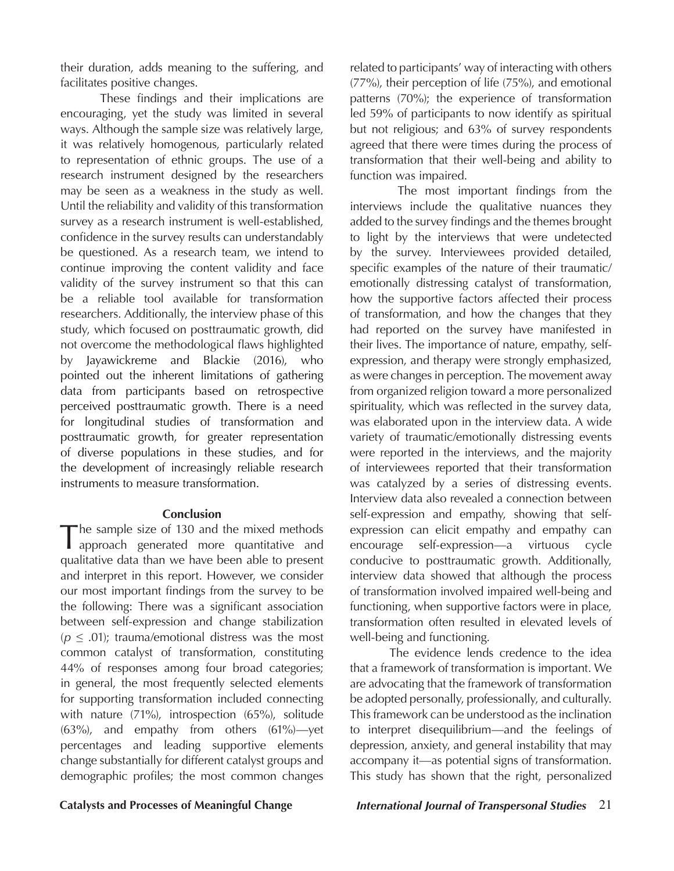their duration, adds meaning to the suffering, and facilitates positive changes.

These findings and their implications are encouraging, yet the study was limited in several ways. Although the sample size was relatively large, it was relatively homogenous, particularly related to representation of ethnic groups. The use of a research instrument designed by the researchers may be seen as a weakness in the study as well. Until the reliability and validity of this transformation survey as a research instrument is well-established, confidence in the survey results can understandably be questioned. As a research team, we intend to continue improving the content validity and face validity of the survey instrument so that this can be a reliable tool available for transformation researchers. Additionally, the interview phase of this study, which focused on posttraumatic growth, did not overcome the methodological flaws highlighted by Jayawickreme and Blackie (2016), who pointed out the inherent limitations of gathering data from participants based on retrospective perceived posttraumatic growth. There is a need for longitudinal studies of transformation and posttraumatic growth, for greater representation of diverse populations in these studies, and for the development of increasingly reliable research instruments to measure transformation.

### **Conclusion**

 $\blacksquare$  he sample size of 130 and the mixed methods approach generated more quantitative and qualitative data than we have been able to present and interpret in this report. However, we consider our most important findings from the survey to be the following: There was a significant association between self-expression and change stabilization  $(p \leq .01)$ ; trauma/emotional distress was the most common catalyst of transformation, constituting 44% of responses among four broad categories; in general, the most frequently selected elements for supporting transformation included connecting with nature (71%), introspection (65%), solitude (63%), and empathy from others (61%)—yet percentages and leading supportive elements change substantially for different catalyst groups and demographic profiles; the most common changes

related to participants' way of interacting with others (77%), their perception of life (75%), and emotional patterns (70%); the experience of transformation led 59% of participants to now identify as spiritual but not religious; and 63% of survey respondents agreed that there were times during the process of transformation that their well-being and ability to function was impaired.

 The most important findings from the interviews include the qualitative nuances they added to the survey findings and the themes brought to light by the interviews that were undetected by the survey. Interviewees provided detailed, specific examples of the nature of their traumatic/ emotionally distressing catalyst of transformation, how the supportive factors affected their process of transformation, and how the changes that they had reported on the survey have manifested in their lives. The importance of nature, empathy, selfexpression, and therapy were strongly emphasized, as were changes in perception. The movement away from organized religion toward a more personalized spirituality, which was reflected in the survey data, was elaborated upon in the interview data. A wide variety of traumatic/emotionally distressing events were reported in the interviews, and the majority of interviewees reported that their transformation was catalyzed by a series of distressing events. Interview data also revealed a connection between self-expression and empathy, showing that selfexpression can elicit empathy and empathy can encourage self-expression—a virtuous cycle conducive to posttraumatic growth. Additionally, interview data showed that although the process of transformation involved impaired well-being and functioning, when supportive factors were in place, transformation often resulted in elevated levels of well-being and functioning.

The evidence lends credence to the idea that a framework of transformation is important. We are advocating that the framework of transformation be adopted personally, professionally, and culturally. This framework can be understood as the inclination to interpret disequilibrium—and the feelings of depression, anxiety, and general instability that may accompany it—as potential signs of transformation. This study has shown that the right, personalized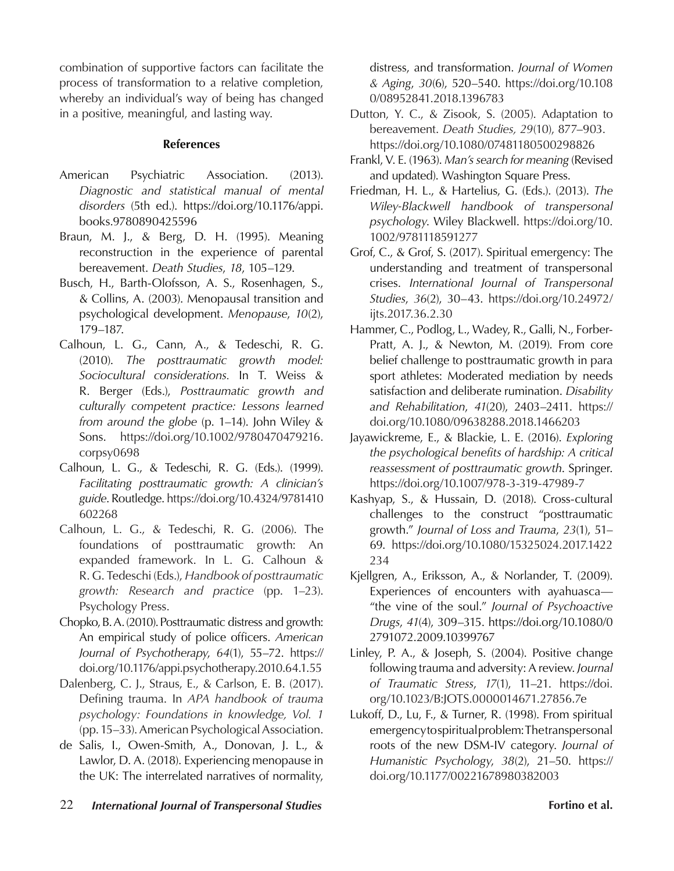combination of supportive factors can facilitate the process of transformation to a relative completion, whereby an individual's way of being has changed in a positive, meaningful, and lasting way.

# **References**

- American Psychiatric Association. (2013). *Diagnostic and statistical manual of mental disorders* (5th ed.). https://doi.org/10.1176/appi. books.9780890425596
- Braun, M. J., & Berg, D. H. (1995). Meaning reconstruction in the experience of parental bereavement. *Death Studies*, *18*, 105–129.
- Busch, H., Barth-Olofsson, A. S., Rosenhagen, S., & Collins, A. (2003). Menopausal transition and psychological development. *Menopause*, *10*(2), 179–187.
- Calhoun, L. G., Cann, A., & Tedeschi, R. G. (2010). *The posttraumatic growth model: Sociocultural considerations.* In T. Weiss & R. Berger (Eds.), *Posttraumatic growth and culturally competent practice: Lessons learned from around the globe* (p. 1–14). John Wiley & Sons. https://doi.org/10.1002/9780470479216. corpsy0698
- Calhoun, L. G., & Tedeschi, R. G. (Eds.). (1999). *Facilitating posttraumatic growth: A clinician's guide*. Routledge. https://doi.org/10.4324/9781410 602268
- Calhoun, L. G., & Tedeschi, R. G. (2006). The foundations of posttraumatic growth: An expanded framework. In L. G. Calhoun & R. G. Tedeschi (Eds.), *Handbook of posttraumatic growth: Research and practice* (pp. 1–23). Psychology Press.
- Chopko, B. A. (2010). Posttraumatic distress and growth: An empirical study of police officers. *American Journal of Psychotherapy*, *64*(1), 55–72. https:// doi.org/10.1176/appi.psychotherapy.2010.64.1.55
- Dalenberg, C. J., Straus, E., & Carlson, E. B. (2017). Defining trauma. In *APA handbook of trauma psychology: Foundations in knowledge, Vol. 1* (pp. 15–33). American Psychological Association.
- de Salis, I., Owen-Smith, A., Donovan, J. L., & Lawlor, D. A. (2018). Experiencing menopause in the UK: The interrelated narratives of normality,

distress, and transformation. *Journal of Women & Aging*, *30*(6), 520–540. https://doi.org/10.108 0/08952841.2018.1396783

- Dutton, Y. C., & Zisook, S. (2005). Adaptation to bereavement. *Death Studies, 29*(10), 877–903. https://doi.org/10.1080/07481180500298826
- Frankl, V. E. (1963). *Man's search for meaning* (Revised and updated). Washington Square Press.
- Friedman, H. L., & Hartelius, G. (Eds.). (2013). *The Wiley-Blackwell handbook of transpersonal psychology*. Wiley Blackwell. https://doi.org/10. 1002/9781118591277
- Grof, C., & Grof, S. (2017). Spiritual emergency: The understanding and treatment of transpersonal crises. *International Journal of Transpersonal Studies*, *36*(2), 30–43. https://doi.org/10.24972/ ijts.2017.36.2.30
- Hammer, C., Podlog, L., Wadey, R., Galli, N., Forber-Pratt, A. J., & Newton, M. (2019). From core belief challenge to posttraumatic growth in para sport athletes: Moderated mediation by needs satisfaction and deliberate rumination. *Disability and Rehabilitation*, *41*(20), 2403–2411. https:// doi.org/10.1080/09638288.2018.1466203
- Jayawickreme, E., & Blackie, L. E. (2016). *Exploring the psychological benefits of hardship: A critical reassessment of posttraumatic growth*. Springer. https://doi.org/10.1007/978-3-319-47989-7
- Kashyap, S., & Hussain, D. (2018). Cross-cultural challenges to the construct "posttraumatic growth." *Journal of Loss and Trauma*, *23*(1), 51– 69. https://doi.org/10.1080/15325024.2017.1422 234
- Kjellgren, A., Eriksson, A., & Norlander, T. (2009). Experiences of encounters with ayahuasca— "the vine of the soul." *Journal of Psychoactive Drugs*, *41*(4), 309–315. https://doi.org/10.1080/0 2791072.2009.10399767
- Linley, P. A., & Joseph, S. (2004). Positive change following trauma and adversity: A review. *Journal of Traumatic Stress*, *17*(1), 11–21. https://doi. org/10.1023/B:JOTS.0000014671.27856.7e
- Lukoff, D., Lu, F., & Turner, R. (1998). From spiritual emergency to spiritual problem: The transpersonal roots of the new DSM-IV category. *Journal of Humanistic Psychology*, *38*(2), 21–50. https:// doi.org/10.1177/00221678980382003
- 22 *International Journal of Transpersonal Studies* **Fortino et al.**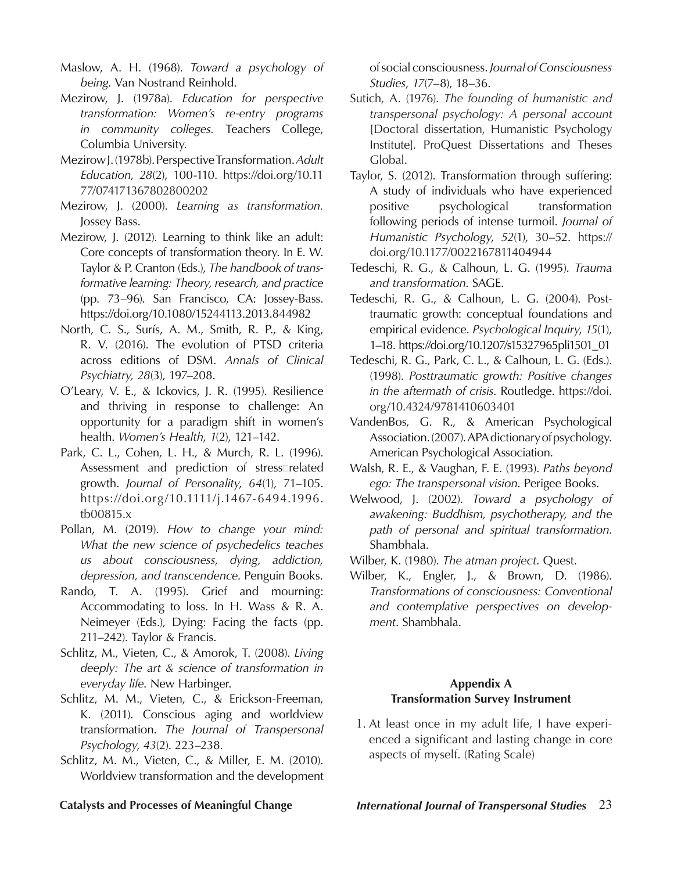Maslow, A. H. (1968). *Toward a psychology of being*. Van Nostrand Reinhold.

- Mezirow, J. (1978a). *Education for perspective transformation: Women's re-entry programs in community colleges.* Teachers College, Columbia University.
- Mezirow J. (1978b). Perspective Transformation.*Adult Education*, *28*(2), 100-110. https://doi.org/10.11 77/074171367802800202
- Mezirow, J. (2000). *Learning as transformation.*  Jossey Bass.
- Mezirow, J. (2012). Learning to think like an adult: Core concepts of transformation theory. In E. W. Taylor & P. Cranton (Eds.), *The handbook of transformative learning: Theory, research, and practice*  (pp. 73–96). San Francisco, CA: Jossey-Bass. https://doi.org/10.1080/15244113.2013.844982
- North, C. S., Surís, A. M., Smith, R. P., & King, R. V. (2016). The evolution of PTSD criteria across editions of DSM. *Annals of Clinical Psychiatry, 28*(3), 197–208.
- O'Leary, V. E., & Ickovics, J. R. (1995). Resilience and thriving in response to challenge: An opportunity for a paradigm shift in women's health. *Women's Health*, *1*(2), 121–142.
- Park, C. L., Cohen, L. H., & Murch, R. L. (1996). Assessment and prediction of stressarelated growth. *Journal of Personality*, *64*(1), 71–105. https://doi.org/10.1111/j.1467-6494.1996. tb00815.x
- Pollan, M. (2019). *How to change your mind: What the new science of psychedelics teaches us about consciousness, dying, addiction, depression, and transcendence*. Penguin Books.
- Rando, T. A. (1995). Grief and mourning: Accommodating to loss. In H. Wass & R. A. Neimeyer (Eds.), Dying: Facing the facts (pp. 211–242). Taylor & Francis.
- Schlitz, M., Vieten, C., & Amorok, T. (2008). *Living deeply: The art & science of transformation in everyday life*. New Harbinger.
- Schlitz, M. M., Vieten, C., & Erickson-Freeman, K. (2011). Conscious aging and worldview transformation. *The Journal of Transpersonal Psychology*, *43*(2). 223–238.
- Schlitz, M. M., Vieten, C., & Miller, E. M. (2010). Worldview transformation and the development

of social consciousness. *Journal of Consciousness Studies*, *17*(7–8), 18–36.

- Sutich, A. (1976). *The founding of humanistic and transpersonal psychology: A personal account* [Doctoral dissertation, Humanistic Psychology Institute]. ProQuest Dissertations and Theses Global.
- Taylor, S. (2012). Transformation through suffering: A study of individuals who have experienced positive psychological transformation following periods of intense turmoil. *Journal of Humanistic Psychology*, *52*(1), 30–52. https:// doi.org/10.1177/0022167811404944
- Tedeschi, R. G., & Calhoun, L. G. (1995). *Trauma and transformation*. SAGE.
- Tedeschi, R. G., & Calhoun, L. G. (2004). Posttraumatic growth: conceptual foundations and empirical evidence. *Psychological Inquiry*, *15*(1), 1–18. https://doi.org/10.1207/s15327965pli1501\_01
- Tedeschi, R. G., Park, C. L., & Calhoun, L. G. (Eds.). (1998). *Posttraumatic growth: Positive changes in the aftermath of crisis*. Routledge. https://doi. org/10.4324/9781410603401
- VandenBos, G. R., & American Psychological Association. (2007).APA dictionary of psychology. American Psychological Association.
- Walsh, R. E., & Vaughan, F. E. (1993). *Paths beyond ego: The transpersonal vision*. Perigee Books.
- Welwood, J. (2002). *Toward a psychology of awakening: Buddhism, psychotherapy, and the path of personal and spiritual transformation*. Shambhala.
- Wilber, K. (1980). *The atman project*. Quest.
- Wilber, K., Engler, J., & Brown, D. (1986). *Transformations of consciousness: Conventional and contemplative perspectives on development*. Shambhala.

# **Appendix A Transformation Survey Instrument**

1. At least once in my adult life, I have experienced a significant and lasting change in core aspects of myself. (Rating Scale)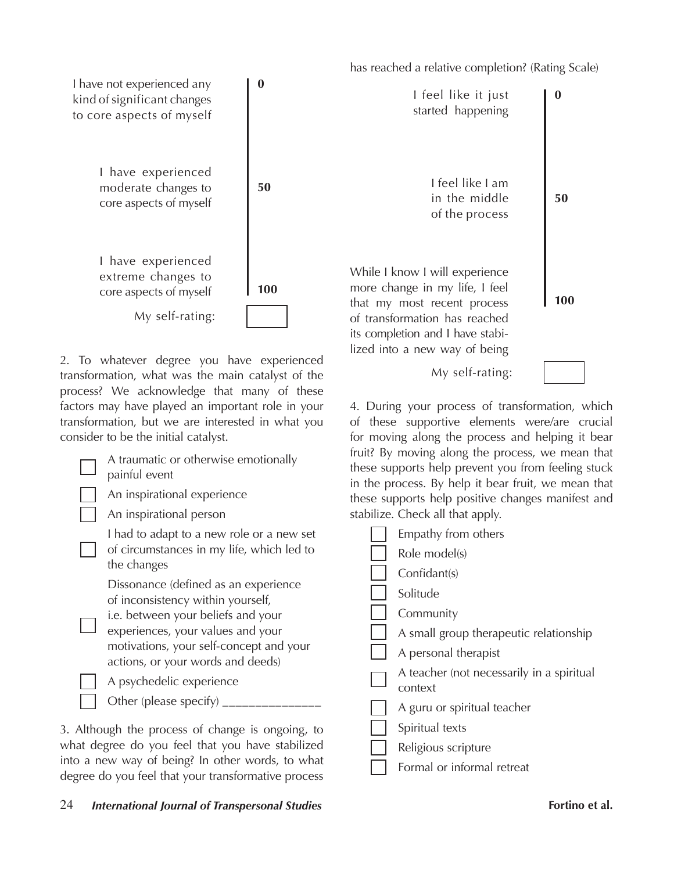has reached a relative completion? (Rating Scale)

4. During your process of transformation, which of these supportive elements were/are crucial for moving along the process and helping it bear

My self-rating:



2. To whatever degree you have experienced transformation, what was the main catalyst of the process? We acknowledge that many of these factors may have played an important role in your transformation, but we are interested in what you consider to be the initial catalyst.

| A traumatic or otherwise emotionally<br>painful event<br>An inspirational experience<br>An inspirational person                                                                                                                      | fruit? By moving along the process, we mean that<br>these supports help prevent you from feeling stuck<br>in the process. By help it bear fruit, we mean that<br>these supports help positive changes manifest and<br>stabilize. Check all that apply. |
|--------------------------------------------------------------------------------------------------------------------------------------------------------------------------------------------------------------------------------------|--------------------------------------------------------------------------------------------------------------------------------------------------------------------------------------------------------------------------------------------------------|
| I had to adapt to a new role or a new set<br>of circumstances in my life, which led to<br>the changes                                                                                                                                | Empathy from others<br>Role model(s)<br>Confidant(s)                                                                                                                                                                                                   |
| Dissonance (defined as an experience<br>of inconsistency within yourself,<br>i.e. between your beliefs and your<br>experiences, your values and your<br>motivations, your self-concept and your<br>actions, or your words and deeds) | Solitude<br>Community<br>A small group therapeutic relationship<br>A personal therapist<br>A teacher (not necessarily in a spiritual                                                                                                                   |
| A psychedelic experience<br>Other (please specify) ______                                                                                                                                                                            | context<br>A guru or spiritual teacher                                                                                                                                                                                                                 |
| 3. Although the process of change is ongoing, to<br>what degree do you feel that you have stabilized<br>into a new way of being? In other words, to what<br>degree do you feel that your transformative process                      | Spiritual texts<br>Religious scripture<br>Formal or informal retreat                                                                                                                                                                                   |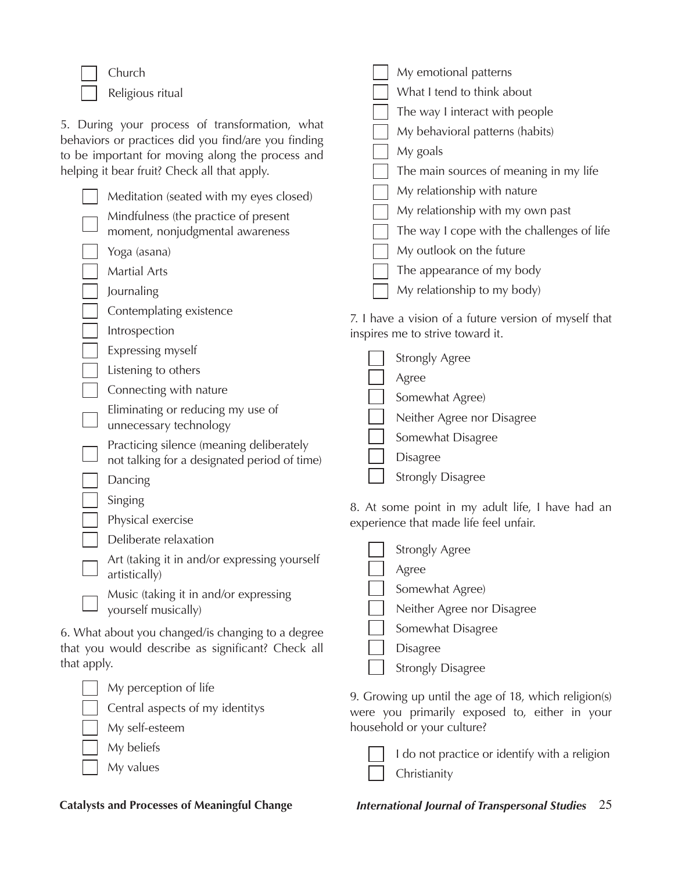Church Religious ritual

5. During your process of transformation, what behaviors or practices did you find/are you finding to be important for moving along the process and helping it bear fruit? Check all that apply.

| Meditation (seated with my eyes closed)              | My relationship with nature                           |
|------------------------------------------------------|-------------------------------------------------------|
| Mindfulness (the practice of present                 | My relationship with my own past                      |
| moment, nonjudgmental awareness                      | The way I cope with the challenges of life            |
| Yoga (asana)                                         | My outlook on the future                              |
| <b>Martial Arts</b>                                  | The appearance of my body                             |
| Journaling                                           | My relationship to my body)                           |
| Contemplating existence                              | 7. I have a vision of a future version of myself that |
| Introspection                                        | inspires me to strive toward it.                      |
| Expressing myself                                    | <b>Strongly Agree</b>                                 |
| Listening to others                                  | Agree                                                 |
| Connecting with nature                               | Somewhat Agree)                                       |
| Eliminating or reducing my use of                    | Neither Agree nor Disagree                            |
| unnecessary technology                               | Somewhat Disagree                                     |
| Practicing silence (meaning deliberately             |                                                       |
| not talking for a designated period of time)         | <b>Disagree</b>                                       |
| Dancing                                              | <b>Strongly Disagree</b>                              |
| Singing                                              | 8. At some point in my adult life, I have had an      |
| Physical exercise                                    | experience that made life feel unfair.                |
| Deliberate relaxation                                |                                                       |
| $\Delta$ rt (taking it in and/or expressing vourself | Strongly Agree                                        |

Art (taking it in and/or expressing yourself artistically)

Music (taking it in and/or expressing yourself musically)

6. What about you changed/is changing to a degree that you would describe as significant? Check all that apply.

My perception of life Central aspects of my identitys My self-esteem My beliefs My values

| Strongly Agree             |
|----------------------------|
| Agree                      |
| Somewhat Agree)            |
| Neither Agree nor Disagree |
| Somewhat Disagree          |
| <b>Disagree</b>            |
| <b>Strongly Disagree</b>   |

My emotional patterns What I tend to think about

My goals

The way I interact with people My behavioral patterns (habits)

The main sources of meaning in my life

9. Growing up until the age of 18, which religion(s) were you primarily exposed to, either in your household or your culture?

| I do not practice or identify with a religion |
|-----------------------------------------------|
| $\Box$ Christianity                           |

**Catalysts and Processes of Meaningful Change** *International Journal of Transpersonal Studies* 25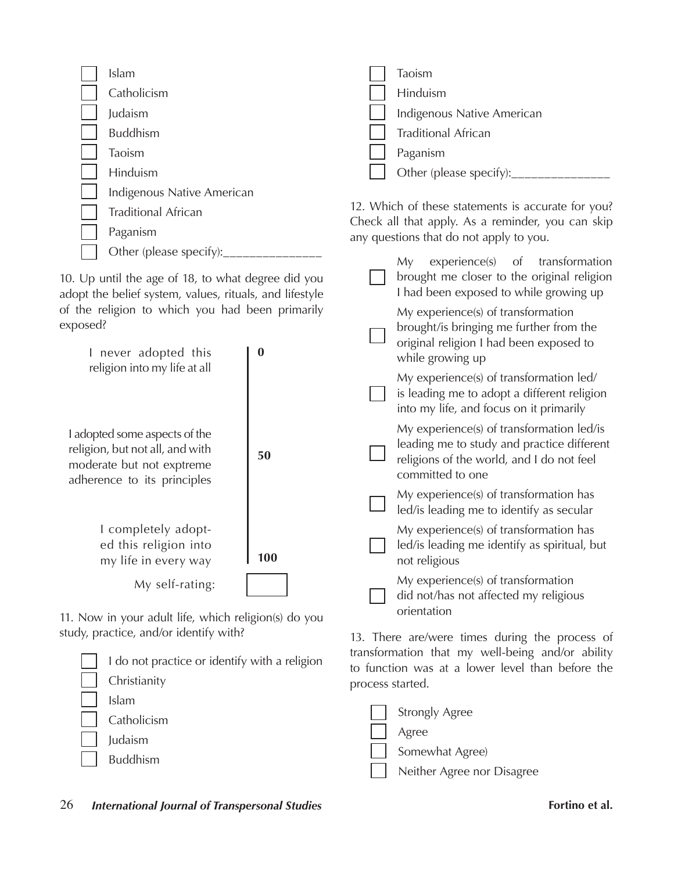| Islam                      | Taoism                                                                                       |
|----------------------------|----------------------------------------------------------------------------------------------|
| Catholicism                | Hinduism                                                                                     |
| Judaism                    | Indigenous Native American                                                                   |
| <b>Buddhism</b>            | <b>Traditional African</b>                                                                   |
| Taoism                     | Paganism                                                                                     |
| Hinduism                   | Other (please specify):___________                                                           |
| Indigenous Native American |                                                                                              |
| <b>Traditional African</b> | 12. Which of these statements is accurate for you?                                           |
| Paganism                   | Check all that apply. As a reminder, you can skip<br>any questions that do not apply to you. |

10. Up until the age of 18, to what degree did you adopt the belief system, values, rituals, and lifestyle of the religion to which you had been primarily exposed?

Other (please specify):\_\_\_\_

| exposed?                                                                                                                     |          | brought/is bringing me further from the                                                                                                                  |
|------------------------------------------------------------------------------------------------------------------------------|----------|----------------------------------------------------------------------------------------------------------------------------------------------------------|
| I never adopted this<br>religion into my life at all                                                                         | $\bf{0}$ | original religion I had been exposed to<br>while growing up                                                                                              |
|                                                                                                                              |          | My experience(s) of transformation led/<br>is leading me to adopt a different religion<br>into my life, and focus on it primarily                        |
| I adopted some aspects of the<br>religion, but not all, and with<br>moderate but not exptreme<br>adherence to its principles | 50       | My experience(s) of transformation led/is<br>leading me to study and practice different<br>religions of the world, and I do not feel<br>committed to one |
|                                                                                                                              |          | My experience(s) of transformation has<br>led/is leading me to identify as secular                                                                       |
| I completely adopt-<br>ed this religion into<br>my life in every way                                                         | 100      | My experience(s) of transformation has<br>led/is leading me identify as spiritual, but<br>not religious                                                  |
| My self-rating:                                                                                                              |          | My experience(s) of transformation<br>did not/has not affected my religious                                                                              |
| 11 Now in your adult life which religion(s) do you                                                                           |          | orientation                                                                                                                                              |

11. Now in your adult life, which religion(s) do you study, practice, and/or identify with?

| I do not practice or identify with a religion |
|-----------------------------------------------|
| Christianity                                  |
| Islam                                         |
| Catholicism                                   |
| Judaism                                       |
| <b>Buddhism</b>                               |

13. There are/were times during the process of transformation that my well-being and/or ability to function was at a lower level than before the process started.

My experience(s) of transformation brought me closer to the original religion I had been exposed to while growing up

My experience(s) of transformation

| <b>Strongly Agree</b>      |
|----------------------------|
| Agree                      |
| Somewhat Agree)            |
| Neither Agree nor Disagree |